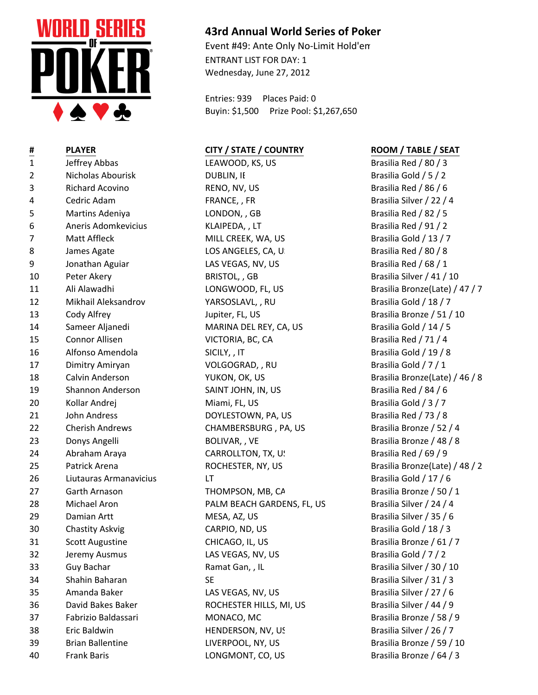

- 
- 
- 
- 
- 
- 
- 
- 
- 
- 
- 
- 
- 
- 
- 
- 
- 
- 26 Liutauras Armanavicius LT LT Lateralism LT Brasilia Gold / 17 / 6
- 
- 
- 
- 
- 
- 
- 
- 
- 
- 
- 
- 
- 
- 

## **43rd Annual World Series of Poker**

Event #49: Ante Only No-Limit Hold'em ENTRANT LIST FOR DAY: 1 Wednesday, June 27, 2012

Entries: 939 Places Paid: 0 Buyin: \$1,500 Prize Pool: \$1,267,650

## **# PLAYER CITY / STATE / COUNTRY ROOM / TABLE / SEAT**

1 Jeffrey Abbas LEAWOOD, KS, US Brasilia Red / 80 / 3 2 Nicholas Abourisk DUBLIN, IE Brasilia Gold / 5 / 2 3 Richard Acovino RENO, NV, US Brasilia Red / 86 / 6 4 Cedric Adam **FRANCE, , FR Brasilia Silver / 22 / 4** 5 Martins Adeniya LONDON, , GB Brasilia Red / 82 / 5 6 Aneris Adomkevicius KLAIPEDA, , LT Brasilia Red / 91 / 2 7 Matt Affleck MILL CREEK, WA, US Brasilia Gold / 13 / 7 8 James Agate LOS ANGELES, CA, US Brasilia Red / 80 / 8 9 Jonathan Aguiar LAS VEGAS, NV, US Brasilia Red / 68 / 1 10 Peter Akery BRISTOL, GB Brasilia Silver / 41 / 10 11 Ali Alawadhi LONGWOOD, FL, US Brasilia Bronze(Late) / 47 / 7 12 Mikhail Aleksandrov YARSOSLAVL, , RU Brasilia Gold / 18 / 7 13 Cody Alfrey Cody altery Jupiter, FL, US Brasilia Bronze / 51 / 10 14 Sameer Aljanedi MARINA DEL REY, CA, US Brasilia Gold / 14 / 5 15 Connor Allisen VICTORIA, BC, CA Brasilia Red / 71 / 4 16 Alfonso Amendola SICILY, , IT Brasilia Gold / 19 / 8 17 Dimitry Amiryan Christian Control Control VOLGOGRAD, , RU Brasilia Gold / 7 / 1 18 Calvin Anderson YUKON, OK, US Brasilia Bronze(Late) / 46 / 8 19 Shannon Anderson SAINT JOHN, IN, US Brasilia Red / 84 / 6 20 Kollar Andrej Niami, FL, US Brasilia Gold / 3 / 7 21 John Andress **DOYLESTOWN, PA, US** Brasilia Red / 73 / 8 22 Cherish Andrews CHAMBERSBURG , PA, US Brasilia Bronze / 52 / 4 23 Donys Angelli BOLIVAR, , VE Brasilia Bronze / 48 / 8 24 Abraham Araya CARROLLTON, TX, US Brasilia Red / 69 / 9 25 Patrick Arena **ROCHESTER, NY, US** Brasilia Bronze(Late) / 48 / 2 27 Garth Arnason **THOMPSON, MB, CA** Brasilia Bronze / 50 / 1 28 Michael Aron **PALM BEACH GARDENS, FL, US** Brasilia Silver / 24 / 4 29 Damian Artt **MESA, AZ, US** MESA, AZ, US Brasilia Silver / 35 / 6 30 Chastity Askvig CARPIO, ND, US Brasilia Gold / 18 / 3 31 Scott Augustine CHICAGO, IL, US Brasilia Bronze / 61 / 7 32 Jeremy Ausmus **LAS VEGAS, NV, US** Brasilia Gold / 7 / 2 33 Guy Bachar **Brasilia Silver / 30 / 10** Ramat Gan, , IL Brasilia Silver / 30 / 10 34 Shahin Baharan SE SE Brasilia Silver / 31 / 3 35 Amanda Baker LAS VEGAS, NV, US Brasilia Silver / 27 / 6 36 David Bakes Baker ROCHESTER HILLS, MI, US Brasilia Silver / 44 / 9 37 Fabrizio Baldassari MONACO, MC Brasilia Bronze / 58 / 9 38 Eric Baldwin **Eric Baldwin** HENDERSON, NV, US Brasilia Silver / 26 / 7 39 Brian Ballentine LIVERPOOL, NY, US Brasilia Bronze / 59 / 10 40 Frank Baris LONGMONT, CO, US Brasilia Bronze / 64 / 3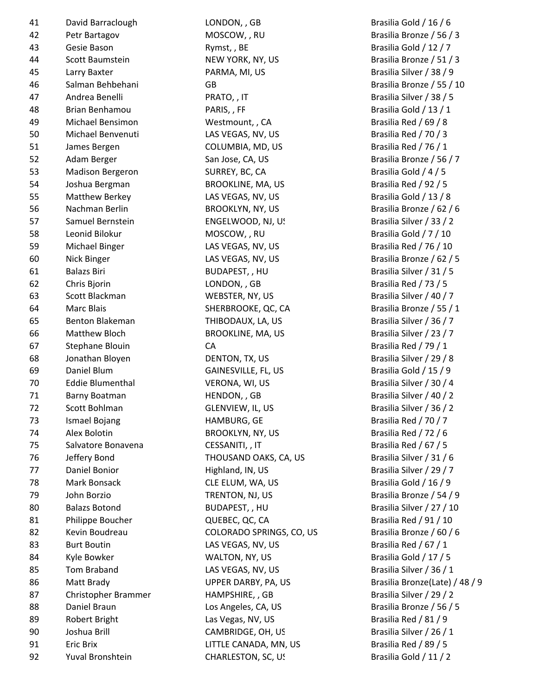| 41 | David Barraclough       |
|----|-------------------------|
| 42 | Petr Bartagov           |
| 43 | Gesie Bason             |
| 44 | <b>Scott Baumstein</b>  |
| 45 | Larry Baxter            |
| 46 | Salman Behbehani        |
| 47 | Andrea Benelli          |
| 48 | <b>Brian Benhamou</b>   |
| 49 | Michael Bensimon        |
| 50 | Michael Benvenuti       |
| 51 | James Bergen            |
| 52 | Adam Berger             |
| 53 | <b>Madison Bergeron</b> |
| 54 | Joshua Bergman          |
| 55 | <b>Matthew Berkey</b>   |
| 56 | Nachman Berlin          |
| 57 | Samuel Bernstein        |
| 58 | Leonid Bilokur          |
| 59 | Michael Binger          |
| 60 | Nick Binger             |
| 61 | <b>Balazs Biri</b>      |
| 62 | Chris Bjorin            |
| 63 | Scott Blackman          |
| 64 | <b>Marc Blais</b>       |
| 65 | <b>Benton Blakeman</b>  |
| 66 | <b>Matthew Bloch</b>    |
| 67 | <b>Stephane Blouin</b>  |
| 68 | Jonathan Bloyen         |
| 69 | Daniel Blum             |
| 70 | <b>Eddie Blumenthal</b> |
| 71 | Barny Boatman           |
| 72 | Scott Bohlman           |
| 73 | <b>Ismael Bojang</b>    |
| 74 | <b>Alex Bolotin</b>     |
| 75 | Salvatore Bonavena      |
| 76 | Jeffery Bond            |
| 77 | Daniel Bonior           |
| 78 | Mark Bonsack            |
|    |                         |
| 79 | John Borzio             |
| 80 | <b>Balazs Botond</b>    |
| 81 | Philippe Boucher        |
| 82 | Kevin Boudreau          |
| 83 | <b>Burt Boutin</b>      |
| 84 | Kyle Bowker             |
| 85 | <b>Tom Braband</b>      |
| 86 | Matt Brady              |
| 87 | Christopher Brammer     |
| 88 | Daniel Braun            |
| 89 | <b>Robert Bright</b>    |
| 90 | Joshua Brill            |
| 91 | <b>Eric Brix</b>        |
| 92 | Yuval Bronshtein        |

LONDON, , GB Brasilia Gold / 16 / 6 MOSCOW, , RU Brasilia Bronze / 56 / 3 Rymst, , BE Brasilia Gold / 12 / 7 NEW YORK, NY, US Brasilia Bronze / 51 / 3 PARMA, MI, US Brasilia Silver / 38 / 9 GB Brasilia Bronze / 55 / 10 PRATO, , IT BRATO, Brasilia Silver / 38 / 5 PARIS, , FF BRIAN Brasilia Gold / 13 / 1 Westmount, , CA Brasilia Red / 69 / 8 LAS VEGAS, NV, US Brasilia Red / 70 / 3 COLUMBIA, MD, US Brasilia Red / 76 / 1 San Jose, CA, US Brasilia Bronze / 56 / 7 SURREY, BC, CA Brasilia Gold / 4 / 5 BROOKLINE, MA, US Brasilia Red / 92 / 5 LAS VEGAS, NV, US Brasilia Gold / 13 / 8 56 Nachman Berlin BROOKLYN, NY, US Brasilia Bronze / 62 / 6 ENGELWOOD, NJ, US Brasilia Silver / 33 / 2 MOSCOW, , RU Brasilia Gold / 7 / 10 LAS VEGAS, NV, US Brasilia Red / 76 / 10 LAS VEGAS, NV, US Brasilia Bronze / 62 / 5 BUDAPEST, , HU Brasilia Silver / 31 / 5 LONDON, , GB Brasilia Red / 73 / 5 WEBSTER, NY, US Brasilia Silver / 40 / 7 SHERBROOKE, QC, CA Brasilia Bronze / 55 / 1 THIBODAUX, LA, US Brasilia Silver / 36 / 7 BROOKLINE, MA, US Brasilia Silver / 23 / 7 CA Brasilia Red / 79 / 1 ENTON, TX, US Brasilia Silver / 29 / 8 GAINESVILLE, FL, US Brasilia Gold / 15 / 9 VERONA, WI, US Brasilia Silver / 30 / 4 The HENDON, , GB Brasilia Silver / 40 / 2 GLENVIEW, IL, US Brasilia Silver / 36 / 2 The Brasilia Red / 70 / 7 BROOKLYN, NY, US Brasilia Red / 72 / 6 CESSANITI, , IT BRASILLE BRASILLE RED RESSANITI, , IT THOUSAND OAKS, CA, US Brasilia Silver / 31 / 6 Fighland, IN, US Brasilia Silver / 29 / 7 The ELUM, WA, US Brasilia Gold / 16 / 9 TRENTON, NJ, US Brasilia Bronze / 54 / 9 BUDAPEST, , HU Brasilia Silver / 27 / 10 QUEBEC, QC, CA Brasilia Red / 91 / 10 COLORADO SPRINGS, CO, US Brasilia Bronze / 60 / 6 LAS VEGAS, NV, US Brasilia Red / 67 / 1 WALTON, NY, US Brasilia Gold / 17 / 5 LAS VEGAS, NV, US Brasilia Silver / 36 / 1 87 Brasilia Silver / 29 / 2 Los Angeles, CA, US Brasilia Bronze / 56 / 5 Las Vegas, NV, US Brasilia Red / 81 / 9 CAMBRIDGE, OH, US Brasilia Silver / 26 / 1 LITTLE CANADA, MN, US Brasilia Red / 89 / 5

UPPER DARBY, PA, US Brasilia Bronze(Late) / 48 / 9 CHARLESTON, SC, US Brasilia Gold / 11 / 2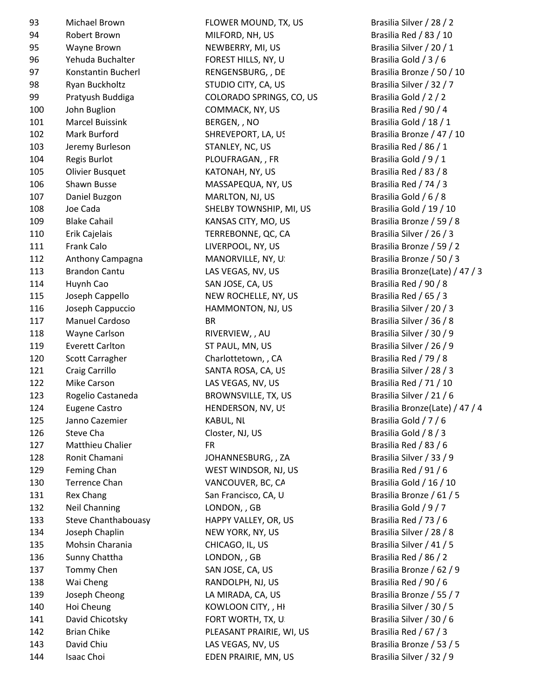| 93  | Michael Brown            |
|-----|--------------------------|
| 94  | Robert Brown             |
| 95  | Wayne Brown              |
| 96  | Yehuda Buchalter         |
| 97  | Konstantin Bucherl       |
| 98  | Ryan Buckholtz           |
| 99  | Pratyush Buddiga         |
| 100 | John Buglion             |
| 101 | <b>Marcel Buissink</b>   |
| 102 | Mark Burford             |
| 103 | Jeremy Burleson          |
| 104 | <b>Regis Burlot</b>      |
| 105 | <b>Olivier Busquet</b>   |
| 106 | Shawn Busse              |
| 107 | Daniel Buzgon            |
| 108 | Joe Cada                 |
| 109 | <b>Blake Cahail</b>      |
| 110 | Erik Cajelais            |
| 111 | <b>Frank Calo</b>        |
| 112 | Anthony Campagna         |
| 113 | <b>Brandon Cantu</b>     |
| 114 | Huynh Cao                |
| 115 |                          |
|     | Joseph Cappello          |
| 116 | Joseph Cappuccio         |
| 117 | <b>Manuel Cardoso</b>    |
| 118 | <b>Wayne Carlson</b>     |
| 119 | <b>Everett Carlton</b>   |
| 120 | <b>Scott Carragher</b>   |
| 121 | Craig Carrillo           |
| 122 | <b>Mike Carson</b>       |
| 123 | Rogelio Castaneda        |
| 124 | Eugene Castro            |
| 125 | Janno Cazemier           |
| 126 | Steve Cha                |
| 127 | Matthieu Chalier         |
| 128 | Ronit Chamani            |
| 129 | <b>Feming Chan</b>       |
| 130 | <b>Terrence Chan</b>     |
| 131 | <b>Rex Chang</b>         |
| 132 | <b>Neil Channing</b>     |
| 133 | <b>Steve Chanthaboua</b> |
| 134 | Joseph Chaplin           |
| 135 | Mohsin Charania          |
| 136 | Sunny Chattha            |
| 137 | <b>Tommy Chen</b>        |
| 138 | Wai Cheng                |
| 139 | Joseph Cheong            |
| 140 | Hoi Cheung               |
| 141 | David Chicotsky          |
| 142 | <b>Brian Chike</b>       |
| 143 | David Chiu               |
|     |                          |

FLOWER MOUND, TX, US Brasilia Silver / 28 / 2 MILFORD, NH, US Brasilia Red / 83 / 10 NEWBERRY, MI, US Brasilia Silver / 20 / 1 FOREST HILLS, NY, US Brasilia Gold / 3 / 6 RENGENSBURG, , DE Brasilia Bronze / 50 / 10 STUDIO CITY, CA, US Brasilia Silver / 32 / 7 99 Pratyush Buddiga COLORADO SPRINGS, CO, US Brasilia Gold / 2 / 2 COMMACK, NY, US Brasilia Red / 90 / 4 BERGEN, , NO Brasilia Gold / 18 / 1 SHREVEPORT, LA, US Brasilia Bronze / 47 / 10 STANLEY, NC, US Brasilia Red / 86 / 1 PLOUFRAGAN, , FR Brasilia Gold / 9 / 1 KATONAH, NY, US Brasilia Red / 83 / 8 MASSAPEQUA, NY, US Brasilia Red / 74 / 3 107 MARLTON, NJ, US Brasilia Gold / 6 / 8 SHELBY TOWNSHIP, MI, US Brasilia Gold / 19 / 10 KANSAS CITY, MO, US Brasilia Bronze / 59 / 8 TERREBONNE, QC, CA Brasilia Silver / 26 / 3 LIVERPOOL, NY, US Brasilia Bronze / 59 / 2 MANORVILLE, NY, U. Brasilia Bronze / 50 / 3 114 SAN JOSE, CA, US Brasilia Red / 90 / 8 NEW ROCHELLE, NY, US Brasilia Red / 65 / 3 HAMMONTON, NJ, US Brasilia Silver / 20 / 3 117 Brasilia Silver / 36 / 8 RIVERVIEW, , AU Brasilia Silver / 30 / 9 119 ST PAUL, MN, US Brasilia Silver / 26 / 9 Charlottetown, , CA Brasilia Red / 79 / 8 SANTA ROSA, CA, US Brasilia Silver / 28 / 3 LAS VEGAS, NV, US Brasilia Red / 71 / 10 BROWNSVILLE, TX, US Brasilia Silver / 21 / 6 125 Janno Cazemier KABUL, NL Brasilia Gold / 7 / 6 Closter, NJ, US Brasilia Gold / 8 / 3 127 Matthieu Chalier FR Brasilia Red / 83 / 6 JOHANNESBURG, , ZA Brasilia Silver / 33 / 9 WEST WINDSOR, NJ, US Brasilia Red / 91 / 6 VANCOUVER, BC, CA Brasilia Gold / 16 / 10 San Francisco, CA, US Brasilia Bronze / 61 / 5 132 LONDON, , GB Brasilia Gold / 9 / 7 133 ISS ENDRY STEVE CHAND IS A STEVE CHANNEY, OR, US And STEVE CHANGE Brasilia Red / 73 / 6 134 NEW YORK, NY, US Brasilia Silver / 28 / 8 CHICAGO, IL, US Brasilia Silver / 41 / 5 LONDON, , GB Brasilia Red / 86 / 2 137 SAN JOSE, CA, US Brasilia Bronze / 62 / 9 RANDOLPH, NJ, US Brasilia Red / 90 / 6 LA MIRADA, CA, US Brasilia Bronze / 55 / 7 KOWLOON CITY, , HH Brasilia Silver / 30 / 5 FORT WORTH, TX, US BRASILLE Brasilia Silver / 30 / 6 PLEASANT PRAIRIE, WI, US Brasilia Red / 67 / 3 LAS VEGAS, NV, US Brasilia Bronze / 53 / 5 144 Isaac Choi EDEN PRAIRIE, MN, US Brasilia Silver / 32 / 9

LAS VEGAS, NV, US Brasilia Bronze(Late) / 47 / 3 HENDERSON, NV, US Brasilia Bronze(Late) / 47 / 4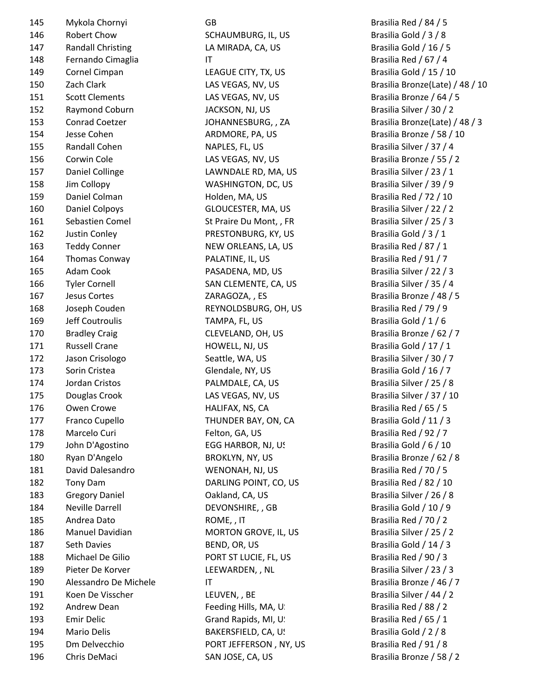| 145 | Mykola Chornyi           | GB                      | Brasilia Red / 84 / 5     |
|-----|--------------------------|-------------------------|---------------------------|
| 146 | Robert Chow              | SCHAUMBURG, IL, US      | Brasilia Gold / 3 / 8     |
| 147 | <b>Randall Christing</b> | LA MIRADA, CA, US       | Brasilia Gold / 16 / 5    |
| 148 | Fernando Cimaglia        | $\mathsf{I}\mathsf{T}$  | Brasilia Red / 67 / 4     |
| 149 | Cornel Cimpan            | LEAGUE CITY, TX, US     | Brasilia Gold / 15 / 10   |
| 150 | Zach Clark               | LAS VEGAS, NV, US       | Brasilia Bronze(Late) /   |
| 151 | <b>Scott Clements</b>    | LAS VEGAS, NV, US       | Brasilia Bronze / 64 / 5  |
| 152 | Raymond Coburn           | JACKSON, NJ, US         | Brasilia Silver / 30 / 2  |
| 153 | <b>Conrad Coetzer</b>    | JOHANNESBURG, , ZA      | Brasilia Bronze(Late) /   |
| 154 | Jesse Cohen              | ARDMORE, PA, US         | Brasilia Bronze / 58 / 1  |
| 155 | Randall Cohen            | NAPLES, FL, US          | Brasilia Silver / 37 / 4  |
| 156 | Corwin Cole              | LAS VEGAS, NV, US       | Brasilia Bronze / 55 / 2  |
| 157 | Daniel Collinge          | LAWNDALE RD, MA, US     | Brasilia Silver / 23 / 1  |
| 158 | Jim Collopy              | WASHINGTON, DC, US      | Brasilia Silver / 39 / 9  |
| 159 | Daniel Colman            | Holden, MA, US          | Brasilia Red / 72 / 10    |
| 160 | Daniel Colpoys           | GLOUCESTER, MA, US      | Brasilia Silver / 22 / 2  |
| 161 | Sebastien Comel          | St Praire Du Mont, , FR | Brasilia Silver / 25 / 3  |
| 162 | Justin Conley            | PRESTONBURG, KY, US     | Brasilia Gold / 3 / 1     |
| 163 | <b>Teddy Conner</b>      | NEW ORLEANS, LA, US     | Brasilia Red / 87 / 1     |
| 164 | Thomas Conway            | PALATINE, IL, US        | Brasilia Red / 91 / 7     |
| 165 | Adam Cook                | PASADENA, MD, US        | Brasilia Silver / 22 / 3  |
| 166 | <b>Tyler Cornell</b>     | SAN CLEMENTE, CA, US    | Brasilia Silver / 35 / 4  |
| 167 | Jesus Cortes             | ZARAGOZA, , ES          | Brasilia Bronze / 48 / 5  |
| 168 | Joseph Couden            | REYNOLDSBURG, OH, US    | Brasilia Red / 79 / 9     |
| 169 | Jeff Coutroulis          | TAMPA, FL, US           | Brasilia Gold / 1 / 6     |
| 170 | <b>Bradley Craig</b>     | CLEVELAND, OH, US       | Brasilia Bronze / 62 / 7  |
| 171 | <b>Russell Crane</b>     | HOWELL, NJ, US          | Brasilia Gold / 17 / 1    |
| 172 | Jason Crisologo          | Seattle, WA, US         | Brasilia Silver / 30 / 7  |
| 173 | Sorin Cristea            | Glendale, NY, US        | Brasilia Gold / 16 / 7    |
| 174 | Jordan Cristos           | PALMDALE, CA, US        | Brasilia Silver / 25 / 8  |
| 175 | Douglas Crook            | LAS VEGAS, NV, US       | Brasilia Silver / 37 / 10 |
| 176 | Owen Crowe               | HALIFAX, NS, CA         | Brasilia Red / 65 / 5     |
| 177 | Franco Cupello           | THUNDER BAY, ON, CA     | Brasilia Gold / 11 / 3    |
| 178 | Marcelo Curi             | Felton, GA, US          | Brasilia Red / 92 / 7     |
| 179 | John D'Agostino          | EGG HARBOR, NJ, US      | Brasilia Gold / 6 / 10    |
| 180 | Ryan D'Angelo            | BROKLYN, NY, US         | Brasilia Bronze / 62 / 8  |
| 181 | David Dalesandro         | WENONAH, NJ, US         | Brasilia Red / 70 / 5     |
| 182 | Tony Dam                 | DARLING POINT, CO, US   | Brasilia Red / 82 / 10    |
| 183 | <b>Gregory Daniel</b>    | Oakland, CA, US         | Brasilia Silver / 26 / 8  |
| 184 | <b>Neville Darrell</b>   | DEVONSHIRE, , GB        | Brasilia Gold / 10 / 9    |
| 185 | Andrea Dato              | ROME, , IT              | Brasilia Red / 70 / 2     |
| 186 | Manuel Davidian          | MORTON GROVE, IL, US    | Brasilia Silver / 25 / 2  |
| 187 | Seth Davies              | BEND, OR, US            | Brasilia Gold / 14 / 3    |
| 188 | Michael De Gilio         | PORT ST LUCIE, FL, US   | Brasilia Red / 90 / 3     |
| 189 | Pieter De Korver         | LEEWARDEN, , NL         | Brasilia Silver / 23 / 3  |
| 190 | Alessandro De Michele    | $\mathsf{I}\mathsf{T}$  | Brasilia Bronze / 46 / 7  |
| 191 | Koen De Visscher         | LEUVEN, , BE            | Brasilia Silver / 44 / 2  |
| 192 | Andrew Dean              | Feeding Hills, MA, U.   | Brasilia Red / 88 / 2     |
| 193 | <b>Emir Delic</b>        | Grand Rapids, MI, U!    | Brasilia Red / 65 / 1     |
| 194 | <b>Mario Delis</b>       | BAKERSFIELD, CA, US     | Brasilia Gold / 2 / 8     |
| 195 | Dm Delvecchio            | PORT JEFFERSON, NY, US  | Brasilia Red / 91 / 8     |
| 196 | Chris DeMaci             | SAN JOSE, CA, US        | Brasilia Bronze / 58 / 2  |
|     |                          |                         |                           |

LAS VEGAS, NV, US Brasilia Bronze(Late) / 48 / 10 153 Conrad Coetzer JOHANNESBURG, , ZA Brasilia Bronze(Late) / 48 / 3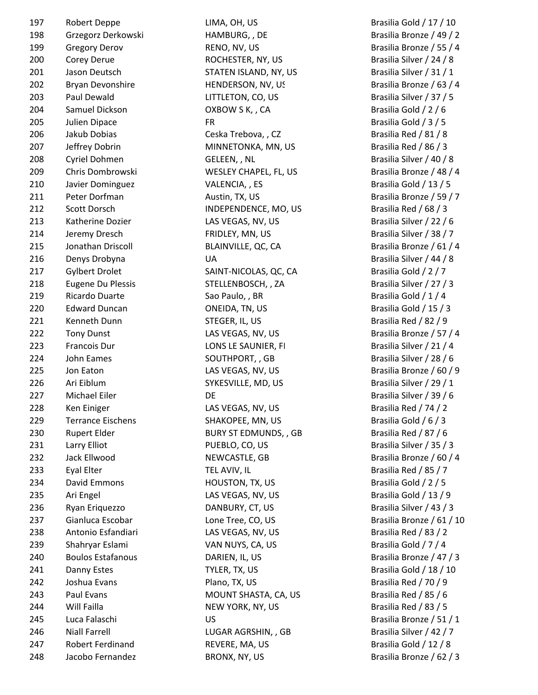| 197 | Robert Deppe             | LIMA, OH, US                 | Brasilia Gold / 17 / 10  |
|-----|--------------------------|------------------------------|--------------------------|
| 198 | Grzegorz Derkowski       | HAMBURG, , DE                | Brasilia Bronze / 49 / 2 |
| 199 | <b>Gregory Derov</b>     | RENO, NV, US                 | Brasilia Bronze / 55 / 4 |
| 200 | Corey Derue              | ROCHESTER, NY, US            | Brasilia Silver / 24 / 8 |
| 201 | Jason Deutsch            | STATEN ISLAND, NY, US        | Brasilia Silver / 31 / 1 |
| 202 | Bryan Devonshire         | HENDERSON, NV, US            | Brasilia Bronze / 63 / 4 |
| 203 | Paul Dewald              | LITTLETON, CO, US            | Brasilia Silver / 37 / 5 |
| 204 | Samuel Dickson           | OXBOW S K, , CA              | Brasilia Gold / 2 / 6    |
| 205 | Julien Dipace            | <b>FR</b>                    | Brasilia Gold / 3 / 5    |
| 206 | Jakub Dobias             | Ceska Trebova, , CZ          | Brasilia Red / 81 / 8    |
| 207 | Jeffrey Dobrin           | MINNETONKA, MN, US           | Brasilia Red / 86 / 3    |
| 208 | Cyriel Dohmen            | GELEEN, , NL                 | Brasilia Silver / 40 / 8 |
| 209 | Chris Dombrowski         | WESLEY CHAPEL, FL, US        | Brasilia Bronze / 48 / 4 |
| 210 | Javier Dominguez         | VALENCIA, , ES               | Brasilia Gold / 13 / 5   |
| 211 | Peter Dorfman            | Austin, TX, US               | Brasilia Bronze / 59 / 7 |
| 212 | <b>Scott Dorsch</b>      | INDEPENDENCE, MO, US         | Brasilia Red / 68 / 3    |
| 213 | Katherine Dozier         | LAS VEGAS, NV, US            | Brasilia Silver / 22 / 6 |
| 214 | Jeremy Dresch            | FRIDLEY, MN, US              | Brasilia Silver / 38 / 7 |
| 215 | Jonathan Driscoll        | BLAINVILLE, QC, CA           | Brasilia Bronze / 61 / 4 |
| 216 | Denys Drobyna            | <b>UA</b>                    | Brasilia Silver / 44 / 8 |
| 217 | <b>Gylbert Drolet</b>    | SAINT-NICOLAS, QC, CA        | Brasilia Gold / 2 / 7    |
| 218 | <b>Eugene Du Plessis</b> | STELLENBOSCH, , ZA           | Brasilia Silver / 27 / 3 |
| 219 | Ricardo Duarte           | Sao Paulo, , BR              | Brasilia Gold / 1 / 4    |
| 220 | <b>Edward Duncan</b>     | ONEIDA, TN, US               | Brasilia Gold / 15 / 3   |
| 221 | Kenneth Dunn             | STEGER, IL, US               | Brasilia Red / 82 / 9    |
| 222 | <b>Tony Dunst</b>        | LAS VEGAS, NV, US            | Brasilia Bronze / 57 / 4 |
| 223 | Francois Dur             | LONS LE SAUNIER, FI          | Brasilia Silver / 21 / 4 |
| 224 | John Eames               | SOUTHPORT, , GB              | Brasilia Silver / 28 / 6 |
| 225 | Jon Eaton                | LAS VEGAS, NV, US            | Brasilia Bronze / 60 / 9 |
| 226 | Ari Eiblum               | SYKESVILLE, MD, US           | Brasilia Silver / 29 / 1 |
| 227 | Michael Eiler            | DE                           | Brasilia Silver / 39 / 6 |
| 228 | Ken Einiger              | LAS VEGAS, NV, US            | Brasilia Red / 74 / 2    |
| 229 | <b>Terrance Eischens</b> | SHAKOPEE, MN, US             | Brasilia Gold / 6 / 3    |
| 230 | <b>Rupert Elder</b>      | <b>BURY ST EDMUNDS, , GB</b> | Brasilia Red / 87 / 6    |
| 231 | Larry Elliot             | PUEBLO, CO, US               | Brasilia Silver / 35 / 3 |
| 232 | Jack Ellwood             | NEWCASTLE, GB                | Brasilia Bronze / 60 / 4 |
| 233 | Eyal Elter               | TEL AVIV, IL                 | Brasilia Red / 85 / 7    |
| 234 | David Emmons             | HOUSTON, TX, US              | Brasilia Gold / 2 / 5    |
| 235 | Ari Engel                | LAS VEGAS, NV, US            | Brasilia Gold / 13 / 9   |
| 236 | Ryan Eriquezzo           | DANBURY, CT, US              | Brasilia Silver / 43 / 3 |
| 237 | Gianluca Escobar         | Lone Tree, CO, US            | Brasilia Bronze / 61 / 1 |
| 238 | Antonio Esfandiari       | LAS VEGAS, NV, US            | Brasilia Red / 83 / 2    |
| 239 | Shahryar Eslami          | VAN NUYS, CA, US             | Brasilia Gold / 7 / 4    |
| 240 | <b>Boulos Estafanous</b> | DARIEN, IL, US               | Brasilia Bronze / 47 / 3 |
| 241 | Danny Estes              | TYLER, TX, US                | Brasilia Gold / 18 / 10  |
| 242 | Joshua Evans             | Plano, TX, US                | Brasilia Red / 70 / 9    |
| 243 | Paul Evans               | MOUNT SHASTA, CA, US         | Brasilia Red / 85 / 6    |
| 244 | Will Failla              | NEW YORK, NY, US             | Brasilia Red / 83 / 5    |
| 245 | Luca Falaschi            | <b>US</b>                    | Brasilia Bronze / 51 / 1 |
| 246 | <b>Niall Farrell</b>     | LUGAR AGRSHIN, , GB          | Brasilia Silver / 42 / 7 |
| 247 | Robert Ferdinand         | REVERE, MA, US               | Brasilia Gold / 12 / 8   |
| 248 | Jacobo Fernandez         | BRONX, NY, US                | Brasilia Bronze / 62 / 3 |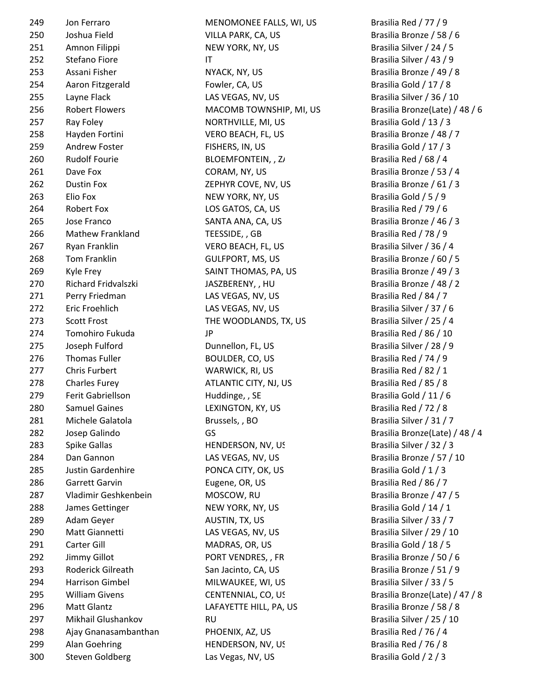300 Steven Goldberg Las Vegas, NV, US Brasilia Gold / 2 / 3

249 Jon Ferraro **MENOMONE FALLS, WI, US** Brasilia Red / 77 / 9 250 Joshua Field **VILLA PARK, CA, US** Brasilia Bronze / 58 / 6 251 Amnon Filippi NEW YORK, NY, US Brasilia Silver / 24 / 5 252 Stefano Fiore IT IT Brasilia Silver / 43 / 9 253 Assani Fisher NYACK, NY, US Brasilia Bronze / 49 / 8 254 Aaron Fitzgerald **Fowler, CA, US** Brasilia Gold / 17 / 8 255 Layne Flack LAS VEGAS, NV, US Brasilia Silver / 36 / 10 256 Robert Flowers **MACOMB TOWNSHIP, MI, US** Brasilia Bronze(Late) / 48 / 6 257 Ray Foley **NORTHVILLE, MI, US** Brasilia Gold / 13 / 3 258 Hayden Fortini VERO BEACH, FL, US Brasilia Bronze / 48 / 7 259 Andrew Foster FISHERS, IN, US Brasilia Gold / 17 / 3 260 Rudolf Fourie BLOEMFONTEIN, , ZA Brasilia Red / 68 / 4 261 Dave Fox CORAM, NY, US Brasilia Bronze / 53 / 4 262 Dustin Fox **ZEPHYR COVE, NV, US** Brasilia Bronze / 61 / 3 263 Elio Fox NEW YORK, NY, US Brasilia Gold / 5 / 9 264 Robert Fox LOS GATOS, CA, US Brasilia Red / 79 / 6 265 Jose Franco SANTA ANA, CA, US Brasilia Bronze / 46 / 3 266 Mathew Frankland TEESSIDE, GB Brasilia Red / 78 / 9 267 Ryan Franklin CHEACH, FL, US BRACH, FL, US Brasilia Silver / 36 / 4 268 Tom Franklin COLEPORT, MS, US Brasilia Bronze / 60 / 5 269 Kyle Frey SAINT THOMAS, PA, US Brasilia Bronze / 49 / 3 270 Richard Fridvalszki JASZBERENY, , HU Brasilia Bronze / 48 / 2 271 Perry Friedman **LAS VEGAS, NV, US** Brasilia Red / 84 / 7 272 Eric Froehlich LAS VEGAS, NV, US Brasilia Silver / 37 / 6 273 Scott Frost **THE WOODLANDS, TX, US** Brasilia Silver / 25 / 4 274 Tomohiro Fukuda Brasilia Red / 86 / 10 275 Joseph Fulford **Dunnellon, FL, US** Brasilia Silver / 28 / 9 276 Thomas Fuller **BOULDER, CO, US** BOULDER, CO, US Brasilia Red / 74 / 9 277 Chris Furbert Chris WARWICK, RI, US Brasilia Red / 82 / 1 278 Charles Furey **ATLANTIC CITY, NJ, US** Brasilia Red / 85 / 8 279 Ferit Gabriellson **Huddinge, , SE** Brasilia Gold / 11 / 6 280 Samuel Gaines **LEXINGTON, KY, US** Brasilia Red / 72 / 8 281 Michele Galatola Brussels, , BO Brasilia Silver / 31 / 7 282 Josep Galindo GS Brasilia Bronze(Late) / 48 / 4 283 Spike Gallas **Example HENDERSON, NV, US** Brasilia Silver / 32 / 3 284 Dan Gannon LAS VEGAS, NV, US Brasilia Bronze / 57 / 10 285 Justin Gardenhire **PONCA CITY, OK, US** Brasilia Gold / 1 / 3 286 Garrett Garvin **Eugene, OR, US** Brasilia Red / 86 / 7 287 Vladimir Geshkenbein MOSCOW, RU Brasilia Bronze / 47 / 5 288 James Gettinger NEW YORK, NY, US Brasilia Gold / 14 / 1 289 Adam Geyer Austin, TX, US AUSTIN, TX, US Brasilia Silver / 33 / 7 290 Matt Giannetti LAS VEGAS, NV, US Brasilia Silver / 29 / 10 291 Carter Gill **Carter Gill** MADRAS, OR, US Brasilia Gold / 18 / 5 292 Jimmy Gillot **PORT VENDRES, , FR** Brasilia Bronze / 50 / 6 293 Roderick Gilreath San Jacinto, CA, US Brasilia Bronze / 51 / 9 294 Harrison Gimbel MILWAUKEE, WI, US Brasilia Silver / 33 / 5 295 William Givens CENTENNIAL, CO, US Brasilia Bronze(Late) / 47 / 8 296 Matt Glantz Contact CLAFAYETTE HILL, PA, US Brasilia Bronze / 58 / 8 297 Mikhail Glushankov RU Brasilia Silver / 25 / 10 298 Ajay Gnanasambanthan PHOENIX, AZ, US Brasilia Red / 76 / 4 299 Alan Goehring HENDERSON, NV, US Brasilia Red / 76 / 8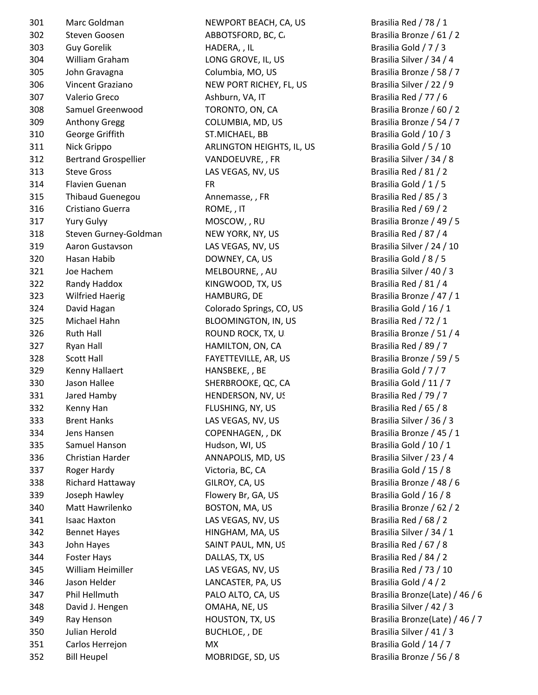| 301 | Marc Goldman                | NEWPORT BEACH, CA, US      | Brasilia Red / 78 / 1     |
|-----|-----------------------------|----------------------------|---------------------------|
| 302 | Steven Goosen               | ABBOTSFORD, BC, C          | Brasilia Bronze / 61 / 2  |
| 303 | <b>Guy Gorelik</b>          | HADERA, , IL               | Brasilia Gold / 7 / 3     |
| 304 | William Graham              | LONG GROVE, IL, US         | Brasilia Silver / 34 / 4  |
| 305 | John Gravagna               | Columbia, MO, US           | Brasilia Bronze / 58 / 7  |
| 306 | Vincent Graziano            | NEW PORT RICHEY, FL, US    | Brasilia Silver / 22 / 9  |
| 307 | Valerio Greco               | Ashburn, VA, IT            | Brasilia Red / 77 / 6     |
| 308 | Samuel Greenwood            | TORONTO, ON, CA            | Brasilia Bronze / 60 / 2  |
| 309 | <b>Anthony Gregg</b>        | COLUMBIA, MD, US           | Brasilia Bronze / 54 / 7  |
| 310 | George Griffith             | ST.MICHAEL, BB             | Brasilia Gold / 10 / 3    |
| 311 | Nick Grippo                 | ARLINGTON HEIGHTS, IL, US  | Brasilia Gold / 5 / 10    |
| 312 | <b>Bertrand Grospellier</b> | VANDOEUVRE,, FR            | Brasilia Silver / 34 / 8  |
| 313 | <b>Steve Gross</b>          | LAS VEGAS, NV, US          | Brasilia Red / 81 / 2     |
| 314 | Flavien Guenan              | <b>FR</b>                  | Brasilia Gold / 1 / 5     |
| 315 | Thibaud Guenegou            | Annemasse, , FR            | Brasilia Red / 85 / 3     |
| 316 | Cristiano Guerra            | ROME, , IT                 | Brasilia Red / 69 / 2     |
| 317 | <b>Yury Gulyy</b>           | MOSCOW, , RU               | Brasilia Bronze / 49 / 5  |
| 318 | Steven Gurney-Goldman       | NEW YORK, NY, US           | Brasilia Red / 87 / 4     |
| 319 | Aaron Gustavson             | LAS VEGAS, NV, US          | Brasilia Silver / 24 / 10 |
| 320 | Hasan Habib                 | DOWNEY, CA, US             | Brasilia Gold / 8 / 5     |
| 321 | Joe Hachem                  | MELBOURNE, , AU            | Brasilia Silver / 40 / 3  |
| 322 | Randy Haddox                | KINGWOOD, TX, US           | Brasilia Red / 81 / 4     |
| 323 | <b>Wilfried Haerig</b>      | HAMBURG, DE                | Brasilia Bronze / 47 / 1  |
| 324 | David Hagan                 | Colorado Springs, CO, US   | Brasilia Gold / 16 / 1    |
| 325 | Michael Hahn                | <b>BLOOMINGTON, IN, US</b> | Brasilia Red / 72 / 1     |
| 326 | <b>Ruth Hall</b>            | ROUND ROCK, TX, U.         | Brasilia Bronze / 51 / 4  |
| 327 | Ryan Hall                   | HAMILTON, ON, CA           | Brasilia Red / 89 / 7     |
| 328 | <b>Scott Hall</b>           | FAYETTEVILLE, AR, US       | Brasilia Bronze / 59 / 5  |
| 329 | Kenny Hallaert              | HANSBEKE, , BE             | Brasilia Gold / 7 / 7     |
| 330 | Jason Hallee                | SHERBROOKE, QC, CA         | Brasilia Gold / 11 / 7    |
| 331 | Jared Hamby                 | HENDERSON, NV, US          | Brasilia Red / 79 / 7     |
| 332 | Kenny Han                   | FLUSHING, NY, US           | Brasilia Red / 65 / 8     |
| 333 | <b>Brent Hanks</b>          | LAS VEGAS, NV, US          | Brasilia Silver / 36 / 3  |
| 334 | Jens Hansen                 | COPENHAGEN, , DK           | Brasilia Bronze / 45 / 1  |
| 335 | Samuel Hanson               | Hudson, WI, US             | Brasilia Gold / 10 / 1    |
| 336 | Christian Harder            | ANNAPOLIS, MD, US          | Brasilia Silver / 23 / 4  |
| 337 | Roger Hardy                 | Victoria, BC, CA           | Brasilia Gold / 15 / 8    |
| 338 | Richard Hattaway            | GILROY, CA, US             | Brasilia Bronze / 48 / 6  |
| 339 | Joseph Hawley               | Flowery Br, GA, US         | Brasilia Gold / 16 / 8    |
| 340 | Matt Hawrilenko             | BOSTON, MA, US             | Brasilia Bronze / 62 / 2  |
| 341 | <b>Isaac Haxton</b>         | LAS VEGAS, NV, US          | Brasilia Red / 68 / 2     |
| 342 | <b>Bennet Hayes</b>         | HINGHAM, MA, US            | Brasilia Silver / 34 / 1  |
| 343 | John Hayes                  | SAINT PAUL, MN, US         | Brasilia Red / 67 / 8     |
| 344 | <b>Foster Hays</b>          | DALLAS, TX, US             | Brasilia Red / 84 / 2     |
| 345 | William Heimiller           | LAS VEGAS, NV, US          | Brasilia Red / 73 / 10    |
| 346 | Jason Helder                | LANCASTER, PA, US          | Brasilia Gold / 4 / 2     |
| 347 | Phil Hellmuth               | PALO ALTO, CA, US          | Brasilia Bronze(Late) /   |
| 348 | David J. Hengen             | OMAHA, NE, US              | Brasilia Silver / 42 / 3  |
| 349 | Ray Henson                  | HOUSTON, TX, US            | Brasilia Bronze(Late) /   |
| 350 | Julian Herold               | BUCHLOE, , DE              | Brasilia Silver / 41 / 3  |
| 351 | Carlos Herrejon             | MX                         | Brasilia Gold / 14 / 7    |
| 352 | <b>Bill Heupel</b>          | MOBRIDGE, SD, US           | Brasilia Bronze / 56 / 8  |

PALO ALTO, CA, US Brasilia Bronze(Late) / 46 / 6 349 Ray Henson HOUSTON, TX, US Brasilia Bronze(Late) / 46 / 7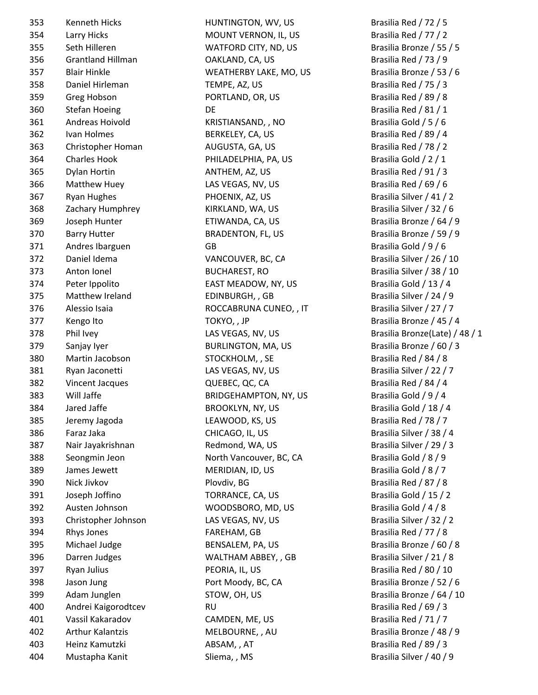353 Kenneth Hicks HUNTINGTON, WV, US Brasilia Red / 72 / 5 354 Larry Hicks MOUNT VERNON, IL, US Brasilia Red / 77 / 2 355 Seth Hilleren MATFORD CITY, ND, US Brasilia Bronze / 55 / 5 356 Grantland Hillman **CAKLAND, CA, US** Brasilia Red / 73 / 9 357 Blair Hinkle **MEATHERBY LAKE, MO, US** Brasilia Bronze / 53 / 6 358 Daniel Hirleman TEMPE, AZ, US Brasilia Red / 75 / 3 359 Greg Hobson PORTLAND, OR, US Brasilia Red / 89 / 8 360 Stefan Hoeing **DE** DE Brasilia Red / 81 / 1 361 Andreas Hoivold KRISTIANSAND, , NO Brasilia Gold / 5 / 6 362 Ivan Holmes BERKELEY, CA, US Brasilia Red / 89 / 4 363 Christopher Homan AUGUSTA, GA, US Brasilia Red / 78 / 2 364 Charles Hook **PHILADELPHIA, PA, US** Brasilia Gold / 2 / 1 365 Dylan Hortin ANTHEM, AZ, US Brasilia Red / 91 / 3 366 Matthew Huey **LAS VEGAS, NV, US** Brasilia Red / 69 / 6 367 Ryan Hughes PHOENIX, AZ, US Brasilia Silver / 41 / 2 368 Zachary Humphrey KIRKLAND, WA, US Brasilia Silver / 32 / 6 369 Joseph Hunter ETIWANDA, CA, US Brasilia Bronze / 64 / 9 370 Barry Hutter **BRADENTON, FL, US** Brasilia Bronze / 59 / 9 371 Andres Ibarguen GB GB Brasilia Gold / 9 / 6 372 Daniel Idema VANCOUVER, BC, CA Brasilia Silver / 26 / 10 373 Anton Ionel BUCHAREST, RO Brasilia Silver / 38 / 10 374 Peter Ippolito **EAST MEADOW, NY, US** Brasilia Gold / 13 / 4 375 Matthew Ireland EDINBURGH, GB Brasilia Silver / 24 / 9 376 Alessio Isaia ROCCABRUNA CUNEO, , IT Brasilia Silver / 27 / 7 377 Kengo Ito **TOKYO, , JP** Brasilia Bronze / 45 / 4 378 Phil Ivey CAS VEGAS, NV, US Brasilia Bronze(Late) / 48 / 1 379 Sanjay Iyer BURLINGTON, MA, US Brasilia Bronze / 60 / 3 380 Martin Jacobson STOCKHOLM, , SE Brasilia Red / 84 / 8 381 Ryan Jaconetti LAS VEGAS, NV, US Brasilia Silver / 22 / 7 382 Vincent Jacques QUEBEC, QC, CA Brasilia Red / 84 / 4 383 Will Jaffe BRIDGEHAMPTON, NY, US Brasilia Gold / 9 / 4 384 Jared Jaffe BROOKLYN, NY, US Brasilia Gold / 18 / 4 385 Jeremy Jagoda LEAWOOD, KS, US Brasilia Red / 78 / 7 386 Faraz Jaka CHICAGO, IL, US Brasilia Silver / 38 / 4 387 Nair Jayakrishnan Redmond, WA, US Brasilia Silver / 29 / 3 388 Seongmin Jeon **North Vancouver, BC, CA** Brasilia Gold / 8 / 9 389 James Jewett **MERIDIAN, ID, US** Brasilia Gold / 8 / 7 390 Nick Jivkov Plovdiv, BG Brasilia Red / 87 / 8 391 Joseph Joffino **TORRANCE, CA, US** Brasilia Gold / 15 / 2 392 Austen Johnson MOODSBORO, MD, US Brasilia Gold / 4 / 8 393 Christopher Johnson LAS VEGAS, NV, US Brasilia Silver / 32 / 2 394 Rhys Jones FAREHAM, GB Brasilia Red / 77 / 8 395 Michael Judge BENSALEM, PA, US Brasilia Bronze / 60 / 8 396 Darren Judges MALTHAM ABBEY, , GB Brasilia Silver / 21 / 8 397 Ryan Julius PEORIA, IL, US Brasilia Red / 80 / 10 398 Jason Jung **Port Moody, BC, CA** Brasilia Bronze / 52 / 6 399 Adam Junglen STOW, OH, US Brasilia Bronze / 64 / 10 400 Andrei Kaigorodtcev RU RU RU Brasilia Red / 69 / 3 401 Vassil Kakaradov CAMDEN, ME, US Brasilia Red / 71 / 7 402 Arthur Kalantzis MELBOURNE, , AU Brasilia Bronze / 48 / 9 403 Heinz Kamutzki ABSAM, , AT Brasilia Red / 89 / 3 404 Mustapha Kanit Sliema, , MS Brasilia Silver / 40 / 9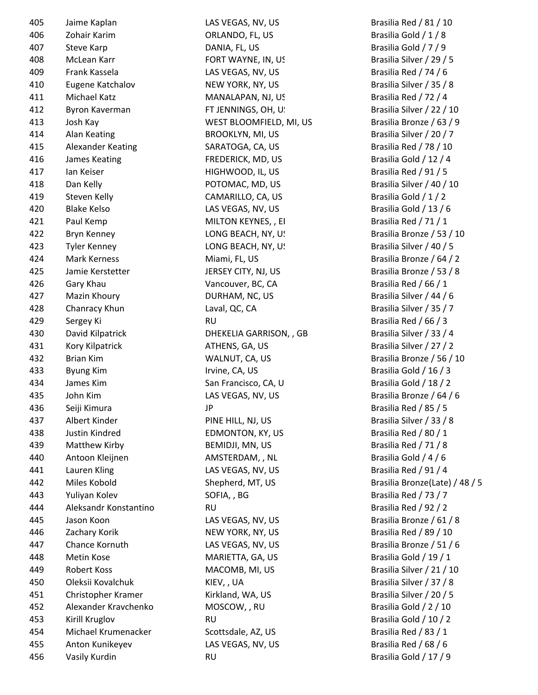| 405 | Jaime Kaplan             |
|-----|--------------------------|
| 406 | Zohair Karim             |
| 407 | <b>Steve Karp</b>        |
| 408 | McLean Karr              |
| 409 | <b>Frank Kassela</b>     |
| 410 | Eugene Katchalov         |
| 411 | Michael Katz             |
| 412 | Byron Kaverman           |
| 413 | Josh Kay                 |
| 414 | <b>Alan Keating</b>      |
| 415 | <b>Alexander Keating</b> |
| 416 | James Keating            |
| 417 | <b>Ian Keiser</b>        |
| 418 | Dan Kelly                |
| 419 | <b>Steven Kelly</b>      |
| 420 | <b>Blake Kelso</b>       |
| 421 | Paul Kemp                |
| 422 | Bryn Kenney              |
| 423 | <b>Tyler Kenney</b>      |
| 424 | <b>Mark Kerness</b>      |
| 425 | Jamie Kerstetter         |
| 426 | Gary Khau                |
| 427 | Mazin Khoury             |
| 428 | Chanracy Khun            |
| 429 | Sergey Ki                |
| 430 | David Kilpatrick         |
| 431 | Kory Kilpatrick          |
| 432 | <b>Brian Kim</b>         |
| 433 | Byung Kim                |
| 434 | James Kim                |
| 435 | John Kim                 |
| 436 | Seiji Kimura             |
| 437 | Albert Kinder            |
| 438 | Justin Kindred           |
| 439 | Matthew Kirby            |
| 440 | Antoon Kleijnen          |
| 441 | Lauren Kling             |
| 442 | Miles Kobold             |
| 443 | Yuliyan Kolev            |
| 444 | Aleksandr Konstantino    |
| 445 | Jason Koon               |
| 446 | Zachary Korik            |
| 447 | Chance Kornuth           |
| 448 | Metin Kose               |
| 449 | <b>Robert Koss</b>       |
| 450 | Oleksii Kovalchuk        |
| 451 | Christopher Kramer       |
| 452 | Alexander Kravchenko     |
| 453 | Kirill Kruglov           |
| 454 | Michael Krumenacker      |
| 455 | Anton Kunikeyev          |
| 456 | Vasily Kurdin            |
|     |                          |

LAS VEGAS, NV, US Brasilia Red / 81 / 10 ORLANDO, FL, US Brasilia Gold / 1 / 8 DANIA, FL, US Brasilia Gold / 7 / 9 FORT WAYNE, IN, US Brasilia Silver / 29 / 5 LAS VEGAS, NV, US Brasilia Red / 74 / 6 NEW YORK, NY, US Brasilia Silver / 35 / 8 MANALAPAN, NJ, US Brasilia Red / 72 / 4 FT JENNINGS, OH, U. Brasilia Silver / 22 / 10 WEST BLOOMFIELD, MI, US Brasilia Bronze / 63 / 9 BROOKLYN, MI, US Brasilia Silver / 20 / 7 5ARATOGA, CA, US Brasilia Red / 78 / 10 FREDERICK, MD, US Brasilia Gold / 12 / 4 HIGHWOOD, IL, US Brasilia Red / 91 / 5 POTOMAC, MD, US Brasilia Silver / 40 / 10 CAMARILLO, CA, US Brasilia Gold / 1 / 2 LAS VEGAS, NV, US Brasilia Gold / 13 / 6 MILTON KEYNES, , EI Brasilia Red / 71 / 1 LONG BEACH, NY, US Brasilia Bronze / 53 / 10 LONG BEACH, NY, US Brasilia Silver / 40 / 5 Miami, FL, US Brasilia Bronze / 64 / 2 JERSEY CITY, NJ, US Brasilia Bronze / 53 / 8 Vancouver, BC, CA Brasilia Red / 66 / 1 DURHAM, NC, US Brasilia Silver / 44 / 6 Laval, QC, CA Brasilia Silver / 35 / 7 RU Brasilia Red / 66 / 3 DHEKELIA GARRISON, , GB Brasilia Silver / 33 / 4 ATHENS, GA, US Brasilia Silver / 27 / 2 WALNUT, CA, US Brasilia Bronze / 56 / 10 Irvine, CA, US Brasilia Gold / 16 / 3 San Francisco, CA, US Brasilia Gold / 18 / 2 LAS VEGAS, NV, US Brasilia Bronze / 64 / 6 436 Seiji Kimura JP Brasilia Red / 85 / 5 PINE HILL, NJ, US Brasilia Silver / 33 / 8 EDMONTON, KY, US Brasilia Red / 80 / 1 BEMIDJI, MN, US Brasilia Red / 71 / 8 AMSTERDAM, , NL Brasilia Gold / 4 / 6 LAS VEGAS, NV, US Brasilia Red / 91 / 4 50 FIA, , BG Brasilia Red / 73 / 7 RU Brasilia Red / 92 / 2 LAS VEGAS, NV, US Brasilia Bronze / 61 / 8 NEW YORK, NY, US Brasilia Red / 89 / 10 LAS VEGAS, NV, US Brasilia Bronze / 51 / 6 MARIETTA, GA, US Brasilia Gold / 19 / 1 MACOMB, MI, US Brasilia Silver / 21 / 10 KIEV, , UA Brasilia Silver / 37 / 8 Kirkland, WA, US Brasilia Silver / 20 / 5 MOSCOW, , RU Brasilia Gold / 2 / 10 RU Brasilia Gold / 10 / 2 Scottsdale, AZ, US Brasilia Red / 83 / 1 LAS VEGAS, NV, US Brasilia Red / 68 / 6

Shepherd, MT, US Brasilia Bronze(Late) / 48 / 5 RU Brasilia Gold / 17 / 9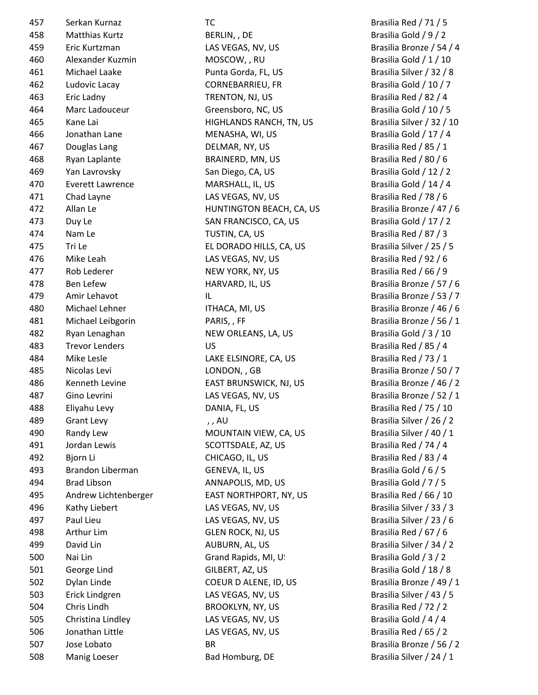| 457 | Serkan Kurnaz           | тс                       | Brasilia Red / 71 / 5    |
|-----|-------------------------|--------------------------|--------------------------|
| 458 | <b>Matthias Kurtz</b>   | BERLIN, , DE             | Brasilia Gold / 9 / 2    |
| 459 | Eric Kurtzman           | LAS VEGAS, NV, US        | Brasilia Bronze / 54 /   |
| 460 | Alexander Kuzmin        | MOSCOW, , RU             | Brasilia Gold / 1 / 10   |
| 461 | Michael Laake           | Punta Gorda, FL, US      | Brasilia Silver / 32 / 8 |
| 462 | Ludovic Lacay           | <b>CORNEBARRIEU, FR</b>  | Brasilia Gold / 10 / 7   |
| 463 | Eric Ladny              | TRENTON, NJ, US          | Brasilia Red / 82 / 4    |
| 464 | Marc Ladouceur          | Greensboro, NC, US       | Brasilia Gold / 10 / 5   |
| 465 | Kane Lai                | HIGHLANDS RANCH, TN, US  | Brasilia Silver / 32 / 1 |
| 466 | Jonathan Lane           | MENASHA, WI, US          | Brasilia Gold / 17 / 4   |
| 467 | Douglas Lang            | DELMAR, NY, US           | Brasilia Red / 85 / 1    |
| 468 | Ryan Laplante           | BRAINERD, MN, US         | Brasilia Red / 80 / 6    |
| 469 | Yan Lavrovsky           | San Diego, CA, US        | Brasilia Gold / 12 / 2   |
| 470 | <b>Everett Lawrence</b> | MARSHALL, IL, US         | Brasilia Gold / 14 / 4   |
| 471 | Chad Layne              | LAS VEGAS, NV, US        | Brasilia Red / 78 / 6    |
| 472 | Allan Le                | HUNTINGTON BEACH, CA, US | Brasilia Bronze / 47 /   |
| 473 | Duy Le                  | SAN FRANCISCO, CA, US    | Brasilia Gold / 17 / 2   |
| 474 | Nam Le                  | TUSTIN, CA, US           | Brasilia Red / 87 / 3    |
| 475 | Tri Le                  | EL DORADO HILLS, CA, US  | Brasilia Silver / 25 / 5 |
| 476 | Mike Leah               | LAS VEGAS, NV, US        | Brasilia Red / 92 / 6    |
| 477 | Rob Lederer             | NEW YORK, NY, US         | Brasilia Red / 66 / 9    |
| 478 | Ben Lefew               | HARVARD, IL, US          | Brasilia Bronze / 57 /   |
| 479 | Amir Lehavot            | IL                       | Brasilia Bronze / 53 /   |
| 480 | Michael Lehner          | ITHACA, MI, US           | Brasilia Bronze / 46 /   |
| 481 | Michael Leibgorin       | PARIS, , FF              | Brasilia Bronze / 56 /   |
| 482 | Ryan Lenaghan           | NEW ORLEANS, LA, US      | Brasilia Gold / 3 / 10   |
| 483 | <b>Trevor Lenders</b>   | US                       | Brasilia Red / 85 / 4    |
| 484 | Mike Lesle              | LAKE ELSINORE, CA, US    | Brasilia Red / 73 / 1    |
| 485 | Nicolas Levi            | LONDON, , GB             | Brasilia Bronze / 50 /   |
| 486 | Kenneth Levine          | EAST BRUNSWICK, NJ, US   | Brasilia Bronze / 46 /   |
| 487 | Gino Levrini            | LAS VEGAS, NV, US        | Brasilia Bronze / 52 /   |
| 488 | Eliyahu Levy            | DANIA, FL, US            | Brasilia Red / 75 / 10   |
| 489 | <b>Grant Levy</b>       | , , AU                   | Brasilia Silver / 26 / 2 |
| 490 | Randy Lew               | MOUNTAIN VIEW, CA, US    | Brasilia Silver / 40 / 1 |
| 491 | Jordan Lewis            | SCOTTSDALE, AZ, US       | Brasilia Red / 74 / 4    |
| 492 | Bjorn Li                | CHICAGO, IL, US          | Brasilia Red / 83 / 4    |
| 493 | Brandon Liberman        | GENEVA, IL, US           | Brasilia Gold / 6 / 5    |
| 494 | <b>Brad Libson</b>      | ANNAPOLIS, MD, US        | Brasilia Gold / 7 / 5    |
| 495 | Andrew Lichtenberger    | EAST NORTHPORT, NY, US   | Brasilia Red / 66 / 10   |
| 496 | Kathy Liebert           | LAS VEGAS, NV, US        | Brasilia Silver / 33 / 3 |
| 497 | Paul Lieu               | LAS VEGAS, NV, US        | Brasilia Silver / 23 / 6 |
| 498 | Arthur Lim              | <b>GLEN ROCK, NJ, US</b> | Brasilia Red / 67 / 6    |
| 499 | David Lin               | AUBURN, AL, US           | Brasilia Silver / 34 / 2 |
| 500 | Nai Lin                 | Grand Rapids, MI, U!     | Brasilia Gold / 3 / 2    |
| 501 | George Lind             | GILBERT, AZ, US          | Brasilia Gold / 18 / 8   |
| 502 | Dylan Linde             | COEUR D ALENE, ID, US    | Brasilia Bronze / 49 /   |
| 503 | Erick Lindgren          | LAS VEGAS, NV, US        | Brasilia Silver / 43 / 5 |
| 504 | Chris Lindh             | BROOKLYN, NY, US         | Brasilia Red / 72 / 2    |
| 505 | Christina Lindley       | LAS VEGAS, NV, US        | Brasilia Gold / 4 / 4    |
| 506 | Jonathan Little         | LAS VEGAS, NV, US        | Brasilia Red / 65 / 2    |
| 507 | Jose Lobato             | <b>BR</b>                | Brasilia Bronze / 56 /   |
| 508 | Manig Loeser            | Bad Homburg, DE          | Brasilia Silver / 24 / 1 |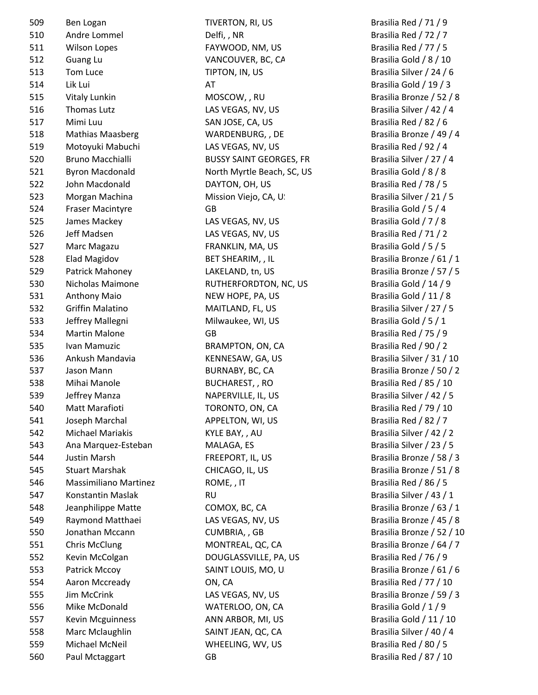509 Ben Logan TIVERTON, RI, US Brasilia Red / 71 / 9 510 Andre Lommel **State Delfi, NR** Brasilia Red / 72 / 7 511 Wilson Lopes **FAYWOOD, NM, US** Brasilia Red / 77 / 5 512 Guang Lu Company Control VANCOUVER, BC, CA Brasilia Gold / 8 / 10 513 Tom Luce TIPTON, IN, US Brasilia Silver / 24 / 6 514 Lik Lui AT Brasilia Gold / 19 / 3 515 Vitaly Lunkin MOSCOW, , RU Brasilia Bronze / 52 / 8 516 Thomas Lutz **LAS VEGAS, NV, US** Brasilia Silver / 42 / 4 517 Mimi Luu SAN JOSE, CA, US Brasilia Red / 82 / 6 518 Mathias Maasberg **WARDENBURG, , DE** Brasilia Bronze / 49 / 4 519 Motoyuki Mabuchi LAS VEGAS, NV, US Brasilia Red / 92 / 4 520 Bruno Macchialli BUSSY SAINT GEORGES, FR Brasilia Silver / 27 / 4 521 Byron Macdonald **North Myrtle Beach, SC, US** Brasilia Gold / 8 / 8 522 John Macdonald **DAYTON, OH, US** Brasilia Red / 78 / 5 523 Morgan Machina **Mission Viejo, CA, U**SA Brasilia Silver / 21 / 5 524 Fraser Macintyre GB GG GB Brasilia Gold / 5 / 4 525 James Mackey **LAS VEGAS, NV, US** Brasilia Gold / 7 / 8 526 Jeff Madsen LAS VEGAS, NV, US Brasilia Red / 71 / 2 527 Marc Magazu FRANKLIN, MA, US Brasilia Gold / 5 / 5 528 Elad Magidov BET SHEARIM, , IL Brasilia Bronze / 61 / 1 529 Patrick Mahoney **LAKELAND, tn, US** Brasilia Bronze / 57 / 5 530 Nicholas Maimone RUTHERFORDTON, NC, US Brasilia Gold / 14 / 9 531 Anthony Maio NEW HOPE, PA, US Brasilia Gold / 11 / 8 532 Griffin Malatino **MAITLAND, FL, US** Brasilia Silver / 27 / 5 533 Jeffrey Mallegni Milwaukee, WI, US Brasilia Gold / 5 / 1 534 Martin Malone GB GG GB Brasilia Red / 75 / 9 535 Ivan Mamuzic BRAMPTON, ON, CA Brasilia Red / 90 / 2 536 Ankush Mandavia KENNESAW, GA, US Brasilia Silver / 31 / 10 537 Jason Mann BURNABY, BC, CA Brasilia Bronze / 50 / 2 538 Mihai Manole BUCHAREST, RO Brasilia Red / 85 / 10 539 Jeffrey Manza NAPERVILLE, IL, US Brasilia Silver / 42 / 5 540 Matt Marafioti **TORONTO, ON, CA** Brasilia Red / 79 / 10 541 Joseph Marchal APPELTON, WI, US Brasilia Red / 82 / 7 542 Michael Mariakis KYLE BAY, , AU Brasilia Silver / 42 / 2 543 Ana Marquez-Esteban MALAGA, ES Brasilia Silver / 23 / 5 544 Justin Marsh FREEPORT, IL, US Brasilia Bronze / 58 / 3 545 Stuart Marshak CHICAGO, IL, US Brasilia Bronze / 51 / 8 546 Massimiliano Martinez ROME, , IT Brasilia Red / 86 / 5 547 Konstantin Maslak RU RU Brasilia Silver / 43 / 1 548 Jeanphilippe Matte COMOX, BC, CA Brasilia Bronze / 63 / 1 549 Raymond Matthaei LAS VEGAS, NV, US Brasilia Bronze / 45 / 8 550 Jonathan Mccann **CUMBRIA, GB** Brasilia Bronze / 52 / 10 551 Chris McClung **MONTREAL, QC, CA** Brasilia Bronze / 64 / 7 552 Kevin McColgan DOUGLASSVILLE, PA, US Brasilia Red / 76 / 9 553 Patrick Mccoy SAINT LOUIS, MO, US Brasilia Bronze / 61 / 6 554 Aaron Mccready **CON, CA Brasilia Red / 77 / 10** 555 Jim McCrink **LAS VEGAS, NV, US** Brasilia Bronze / 59 / 3 556 Mike McDonald WATERLOO, ON, CA Brasilia Gold / 1 / 9 557 Kevin Mcguinness **ANN ARBOR, MI, US** Brasilia Gold / 11 / 10 558 Marc Mclaughlin SAINT JEAN, QC, CA Brasilia Silver / 40 / 4 559 Michael McNeil WHEELING, WV, US Brasilia Red / 80 / 5 560 Paul Mctaggart GB GB Brasilia Red / 87 / 10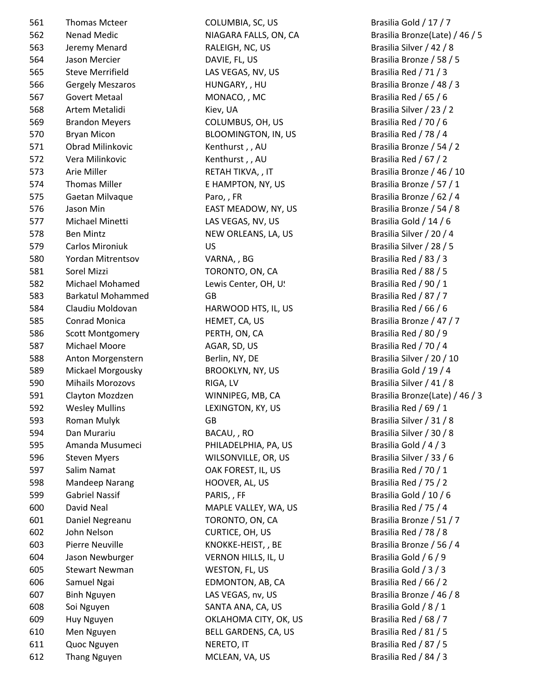| 561 | <b>Thomas Mcteer</b>    |
|-----|-------------------------|
| 562 | <b>Nenad Medic</b>      |
| 563 | Jeremy Menard           |
| 564 | Jason Mercier           |
| 565 | <b>Steve Merrifield</b> |
| 566 | <b>Gergely Meszaros</b> |
| 567 | <b>Govert Metaal</b>    |
| 568 | Artem Metalidi          |
| 569 | <b>Brandon Meyers</b>   |
| 570 | <b>Bryan Micon</b>      |
| 571 | <b>Obrad Milinkovic</b> |
| 572 | Vera Milinkovic         |
| 573 | Arie Miller             |
| 574 | <b>Thomas Miller</b>    |
| 575 | Gaetan Milvaque         |
| 576 | Jason Min               |
| 577 | Michael Minetti         |
| 578 | <b>Ben Mintz</b>        |
| 579 | <b>Carlos Mironiuk</b>  |
| 580 |                         |
|     | Yordan Mitrentsov       |
| 581 | Sorel Mizzi             |
| 582 | Michael Mohamed         |
| 583 | <b>Barkatul Mohamm</b>  |
| 584 | Claudiu Moldovan        |
| 585 | <b>Conrad Monica</b>    |
| 586 | <b>Scott Montgomery</b> |
| 587 | Michael Moore           |
| 588 | Anton Morgenster        |
| 589 | Mickael Morgousk        |
| 590 | Mihails Morozovs        |
| 591 | Clayton Mozdzen         |
| 592 | Wesley Mullins          |
| 593 | Roman Mulyk             |
| 594 | Dan Murariu             |
| 595 | Amanda Musumed          |
| 596 | <b>Steven Myers</b>     |
| 597 | Salim Namat             |
| 598 | <b>Mandeep Narang</b>   |
| 599 | <b>Gabriel Nassif</b>   |
| 600 | David Neal              |
| 601 | Daniel Negreanu         |
| 602 | John Nelson             |
| 603 | <b>Pierre Neuville</b>  |
| 604 | Jason Newburger         |
| 605 | <b>Stewart Newman</b>   |
| 606 | Samuel Ngai             |
|     |                         |
| 607 | <b>Binh Nguyen</b>      |
| 608 | Soi Nguyen              |
| 609 | Huy Nguyen              |
| 610 | Men Nguyen              |
| 611 | Quoc Nguyen             |
| 612 | <b>Thang Nguyen</b>     |

COLUMBIA, SC, US Brasilia Gold / 17 / 7 RALEIGH, NC, US Brasilia Silver / 42 / 8 DAVIE, FL, US Brasilia Bronze / 58 / 5 LAS VEGAS, NV, US Brasilia Red / 71 / 3 566 Gergely Meszaros HUNGARY, , HU Brasilia Bronze / 48 / 3 MONACO, , MC Brasilia Red / 65 / 6 Kiev, UA Brasilia Silver / 23 / 2 569 Brandon Meyers COLUMBUS, OH, US Brasilia Red / 70 / 6 BLOOMINGTON, IN, US Brasilia Red / 78 / 4 Kenthurst , , AU Brasilia Bronze / 54 / 2 Kenthurst , , AU Brasilia Red / 67 / 2 RETAH TIKVA, , IT Brasilia Bronze / 46 / 10 E HAMPTON, NY, US Brasilia Bronze / 57 / 1 Paro, , FR Brasilia Bronze / 62 / 4 EAST MEADOW, NY, US Brasilia Bronze / 54 / 8 LAS VEGAS, NV, US Brasilia Gold / 14 / 6 NEW ORLEANS, LA, US Brasilia Silver / 20 / 4 579 Carlos Mironiuk US Brasilia Silver / 28 / 5 5 YARNA, , BG Brasilia Red / 83 / 3 TORONTO, ON, CA Brasilia Red / 88 / 5 d
Brasilia Red / 90 / 1 ed GB GB Brasilia Red / 87 / 7 HARWOOD HTS, IL, US Brasilia Red / 66 / 6 HEMET, CA, US Brasilia Bronze / 47 / 7 FRTH, ON, CA Brasilia Red / 80 / 9 587 Michael Moore AGAR, SD, US Brasilia Red / 70 / 4 588 The Serlin, NY, DE Brasilia Silver / 20 / 10 589 My BROOKLYN, NY, US Brasilia Gold / 19 / 4 590 Mihails Morozovs RIGA, LV Brasilia Silver / 41 / 8 LEXINGTON, KY, US Brasilia Red / 69 / 1 593 Roman Mulyk GB Brasilia Silver / 31 / 8 594 Dan Murariu BACAU, , RO Brasilia Silver / 30 / 8  $\begin{array}{ccc} \hbox{5} & \hbox{6} & \hbox{6} \ \hbox{5} & \hbox{6} & \hbox{7} \ \hbox{6} & \hbox{7} & \hbox{8} \ \hbox{6} & \hbox{8} & \hbox{9} \ \hbox{7} & \hbox{9} & \hbox{10} \ \hbox{8} & \hbox{11} & \hbox{12} \ \hbox{9} & \hbox{13} & \hbox{14} \ \hbox{15} & \hbox{16} & \hbox{17} \ \hbox{16} & \hbox{17} & \hbox{18} \ \hbox{18} & \hbox{1$ WILSONVILLE, OR, US Brasilia Silver / 33 / 6 OAK FOREST, IL, US Brasilia Red / 70 / 1 598 Mandeep Narang HOOVER, AL, US Brasilia Red / 75 / 2 PARIS, , FF Brasilia Gold / 10 / 6 MAPLE VALLEY, WA, US Brasilia Red / 75 / 4 TORONTO, ON, CA Brasilia Bronze / 51 / 7 CURTICE, OH, US Brasilia Red / 78 / 8 KNOKKE-HEIST, , BE Brasilia Bronze / 56 / 4 VERNON HILLS, IL, US Brasilia Gold / 6 / 9 WESTON, FL, US Brasilia Gold / 3 / 3 EDMONTON, AB, CA Brasilia Red / 66 / 2 LAS VEGAS, nv, US Brasilia Bronze / 46 / 8 SANTA ANA, CA, US Brasilia Gold / 8 / 1 OKLAHOMA CITY, OK, US Brasilia Red / 68 / 7 BELL GARDENS, CA, US Brasilia Red / 81 / 5 611 NERETO, IT Brasilia Red / 87 / 5

NIAGARA FALLS, ON, CA Brasilia Bronze(Late) / 46 / 5 591 Clayton Mozdzen WINNIPEG, MB, CA Brasilia Bronze(Late) / 46 / 3 Nguyen **MCLEAN, VA, US** Brasilia Red / 84 / 3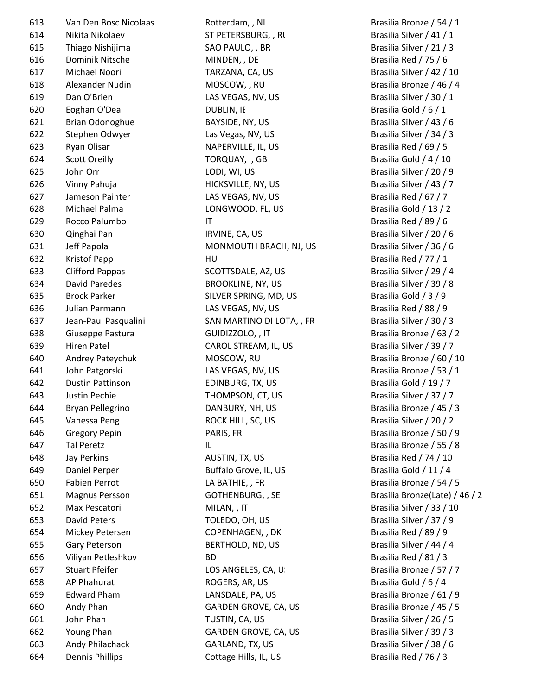| 613 | Van Den Bosc Nicolaas   | Rotterdam, , NL           | Brasilia Bronze / 54        |
|-----|-------------------------|---------------------------|-----------------------------|
| 614 | Nikita Nikolaev         | ST PETERSBURG, , RI       | Brasilia Silver / 41 /      |
| 615 | Thiago Nishijima        | SAO PAULO, , BR           | Brasilia Silver / 21 /      |
| 616 | Dominik Nitsche         | MINDEN, , DE              | Brasilia Red / 75 / 6       |
| 617 | Michael Noori           | TARZANA, CA, US           | Brasilia Silver / 42 /      |
| 618 | Alexander Nudin         | MOSCOW, , RU              | Brasilia Bronze / 46        |
| 619 | Dan O'Brien             | LAS VEGAS, NV, US         | Brasilia Silver / 30 /      |
| 620 | Eoghan O'Dea            | DUBLIN, IE                | Brasilia Gold / 6 / 1       |
| 621 | Brian Odonoghue         | BAYSIDE, NY, US           | Brasilia Silver / 43 /      |
| 622 | Stephen Odwyer          | Las Vegas, NV, US         | Brasilia Silver / 34 /      |
| 623 | Ryan Olisar             | NAPERVILLE, IL, US        | Brasilia Red / 69 / 5       |
| 624 | <b>Scott Oreilly</b>    | TORQUAY, , GB             | Brasilia Gold / 4 / 10      |
| 625 | John Orr                | LODI, WI, US              | Brasilia Silver / 20 /      |
| 626 | Vinny Pahuja            | HICKSVILLE, NY, US        | Brasilia Silver / 43 /      |
| 627 | Jameson Painter         | LAS VEGAS, NV, US         | Brasilia Red / 67 / 7       |
| 628 | Michael Palma           | LONGWOOD, FL, US          | Brasilia Gold / 13 / 2      |
| 629 | Rocco Palumbo           | $\mathsf{I}\mathsf{T}$    | Brasilia Red / 89 / 6       |
| 630 | Qinghai Pan             | IRVINE, CA, US            | Brasilia Silver / 20 /      |
| 631 | Jeff Papola             | MONMOUTH BRACH, NJ, US    | Brasilia Silver / 36 /      |
| 632 | <b>Kristof Papp</b>     | HU                        | Brasilia Red / 77 / 1       |
| 633 | <b>Clifford Pappas</b>  | SCOTTSDALE, AZ, US        | Brasilia Silver / 29 /      |
| 634 | David Paredes           | <b>BROOKLINE, NY, US</b>  | Brasilia Silver / 39 /      |
| 635 | <b>Brock Parker</b>     | SILVER SPRING, MD, US     | Brasilia Gold / 3 / 9       |
| 636 | Julian Parmann          | LAS VEGAS, NV, US         | Brasilia Red / 88 / 9       |
| 637 | Jean-Paul Pasqualini    | SAN MARTINO DI LOTA, , FR | Brasilia Silver / 30 /      |
| 638 | Giuseppe Pastura        | GUIDIZZOLO, , IT          | Brasilia Bronze / 63        |
| 639 | <b>Hiren Patel</b>      | CAROL STREAM, IL, US      | Brasilia Silver / 39 /      |
| 640 | Andrey Pateychuk        | MOSCOW, RU                | Brasilia Bronze / 60        |
| 641 | John Patgorski          | LAS VEGAS, NV, US         | Brasilia Bronze / 53        |
| 642 | <b>Dustin Pattinson</b> | EDINBURG, TX, US          | Brasilia Gold / 19 / 7      |
| 643 | Justin Pechie           | THOMPSON, CT, US          | Brasilia Silver / 37 /      |
| 644 | Bryan Pellegrino        | DANBURY, NH, US           | Brasilia Bronze / 45        |
| 645 | Vanessa Peng            | ROCK HILL, SC, US         | Brasilia Silver / 20 /      |
| 646 | <b>Gregory Pepin</b>    | PARIS, FR                 | Brasilia Bronze / 50        |
| 647 | <b>Tal Peretz</b>       | IL.                       | Brasilia Bronze / 55        |
| 648 | Jay Perkins             | AUSTIN, TX, US            | Brasilia Red / 74 / 10      |
| 649 | Daniel Perper           | Buffalo Grove, IL, US     | Brasilia Gold / 11 / 4      |
| 650 | <b>Fabien Perrot</b>    | LA BATHIE, , FR           | Brasilia Bronze / 54        |
| 651 | <b>Magnus Persson</b>   | GOTHENBURG,, SE           | <b>Brasilia Bronze(Late</b> |
| 652 | Max Pescatori           | MILAN, , IT               | Brasilia Silver / 33 /      |
| 653 | <b>David Peters</b>     | TOLEDO, OH, US            | Brasilia Silver / 37 /      |
| 654 | Mickey Petersen         | COPENHAGEN, , DK          | Brasilia Red / 89 / 9       |
| 655 | Gary Peterson           | BERTHOLD, ND, US          | Brasilia Silver / 44 /      |
| 656 | Viliyan Petleshkov      | <b>BD</b>                 | Brasilia Red / 81 / 3       |
| 657 | <b>Stuart Pfeifer</b>   | LOS ANGELES, CA, U.       | Brasilia Bronze / 57        |
| 658 | AP Phahurat             | ROGERS, AR, US            | Brasilia Gold / 6 / 4       |
| 659 | <b>Edward Pham</b>      | LANSDALE, PA, US          | Brasilia Bronze / 61        |
| 660 | Andy Phan               | GARDEN GROVE, CA, US      | Brasilia Bronze / 45        |
| 661 | John Phan               | TUSTIN, CA, US            | Brasilia Silver / 26 /      |
| 662 | Young Phan              | GARDEN GROVE, CA, US      | Brasilia Silver / 39 /      |
| 663 | Andy Philachack         | GARLAND, TX, US           | Brasilia Silver / 38 /      |
| 664 | <b>Dennis Phillips</b>  | Cottage Hills, IL, US     | Brasilia Red / 76 / 3       |

613 Van Den Bosc Nicolaas Rotterdam, , NL Brasilia Bronze / 54 / 1 ST PETERSBURG, , RU Brasilia Silver / 41 / 1 SAO PAULO, , BR Brasilia Silver / 21 / 3 616 Dominik Nitsche MINDEN, , DE Brasilia Red / 75 / 6 TARZANA, CA, US Brasilia Silver / 42 / 10 MOSCOW, , RU Brasilia Bronze / 46 / 4 LAS VEGAS, NV, US Brasilia Silver / 30 / 1 DUBLIN, II Brasilia Gold / 6 / 1 BAYSIDE, NY, US Brasilia Silver / 43 / 6 Las Vegas, NV, US Brasilia Silver / 34 / 3 NAPERVILLE, IL, US Brasilia Red / 69 / 5 TORQUAY, , GB Brasilia Gold / 4 / 10 LODI, WI, US Brasilia Silver / 20 / 9 HICKSVILLE, NY, US Brasilia Silver / 43 / 7 LAS VEGAS, NV, US Brasilia Red / 67 / 7 LONGWOOD, FL, US Brasilia Gold / 13 / 2 Fig. 2. The Brasilia Red / 89 / 6 IRVINE, CA, US Brasilia Silver / 20 / 6 MONMOUTH BRACH, NJ, US Brasilia Silver / 36 / 6 HU Brasilia Red / 77 / 1 SCOTTSDALE, AZ, US Brasilia Silver / 29 / 4 BROOKLINE, NY, US Brasilia Silver / 39 / 8 SILVER SPRING, MD, US Brasilia Gold / 3 / 9 LAS VEGAS, NV, US Brasilia Red / 88 / 9 637 Jean-Paul Pasqualini SAN MARTINO DI LOTA, , FR Brasilia Silver / 30 / 3 GUIDIZZOLO, , IT Brasilia Bronze / 63 / 2 CAROL STREAM, IL, US Brasilia Silver / 39 / 7 640 Andrey Pateychuk MOSCOW, RU Brasilia Bronze / 60 / 10 LAS VEGAS, NV, US Brasilia Bronze / 53 / 1 EDINBURG, TX, US Brasilia Gold / 19 / 7 THOMPSON, CT, US Brasilia Silver / 37 / 7 DANBURY, NH, US Brasilia Bronze / 45 / 3 ROCK HILL, SC, US Brasilia Silver / 20 / 2 PARIS, FR Brasilia Bronze / 50 / 9 Example 20 Tal Peretz II Brasilia Bronze / 55 / 8 AUSTIN, TX, US Brasilia Red / 74 / 10 Buffalo Grove, IL, US Brasilia Gold / 11 / 4 LA BATHIE, , FR Brasilia Bronze / 54 / 5 651 Magnus Persson GOTHENBURG, , SE Brasilia Bronze(Late) / 46 / 2 652 MILAN, , IT Brasilia Silver / 33 / 10 TOLEDO, OH, US Brasilia Silver / 37 / 9 COPENHAGEN, , DK Brasilia Red / 89 / 9 BERTHOLD, ND, US Brasilia Silver / 44 / 4 BD Brasilia Red / 81 / 3 LOS ANGELES, CA, US Brasilia Bronze / 57 / 7 ROGERS, AR, US Brasilia Gold / 6 / 4 LANSDALE, PA, US Brasilia Bronze / 61 / 9 GARDEN GROVE, CA, US Brasilia Bronze / 45 / 5 TUSTIN, CA, US Brasilia Silver / 26 / 5 GARDEN GROVE, CA, US Brasilia Silver / 39 / 3 GARLAND, TX, US Brasilia Silver / 38 / 6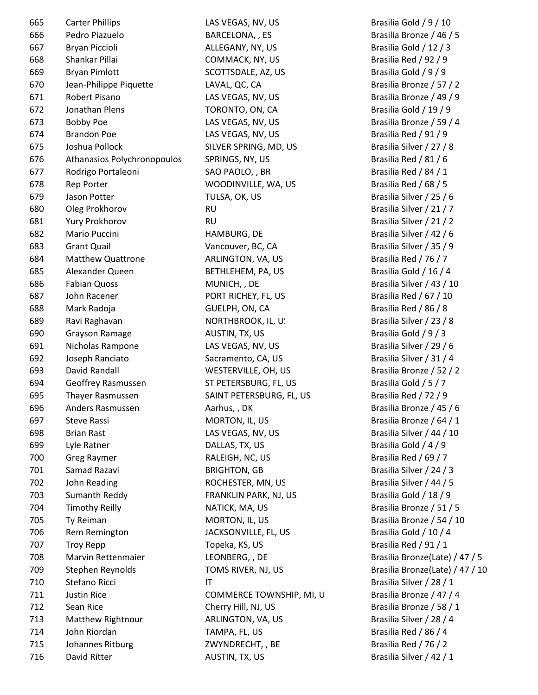| 665 | <b>Carter Phillips</b>      | LAS VEGAS         |
|-----|-----------------------------|-------------------|
| 666 | Pedro Piazuelo              | <b>BARCELON</b>   |
| 667 | Bryan Piccioli              | ALLEGANY          |
| 668 | Shankar Pillai              | <b>COMMAC</b>     |
| 669 | <b>Bryan Pimlott</b>        | <b>SCOTTSDA</b>   |
| 670 | Jean-Philippe Piquette      | LAVAL, QC         |
| 671 | Robert Pisano               | <b>LAS VEGAS</b>  |
| 672 | Jonathan Plens              | <b>TORONTO</b>    |
| 673 | <b>Bobby Poe</b>            | LAS VEGAS         |
| 674 | <b>Brandon Poe</b>          | <b>LAS VEGAS</b>  |
| 675 | Joshua Pollock              | <b>SILVER SPI</b> |
| 676 | Athanasios Polychronopoulos | SPRINGS,          |
| 677 | Rodrigo Portaleoni          | <b>SAO PAOL</b>   |
| 678 | <b>Rep Porter</b>           | <b>WOODINV</b>    |
| 679 | Jason Potter                | TULSA, OK         |
| 680 | Oleg Prokhorov              | <b>RU</b>         |
| 681 | Yury Prokhorov              | <b>RU</b>         |
| 682 | Mario Puccini               | <b>HAMBURG</b>    |
| 683 | <b>Grant Quail</b>          | Vancouver         |
| 684 | Matthew Quattrone           | <b>ARLINGTO</b>   |
| 685 | Alexander Queen             | <b>BETHLEHE</b>   |
| 686 | <b>Fabian Quoss</b>         | MUNICH,           |
| 687 | John Racener                | <b>PORT RICH</b>  |
| 688 | Mark Radoja                 | GUELPH, O         |
| 689 | Ravi Raghavan               | <b>NORTHBR</b>    |
| 690 | <b>Grayson Ramage</b>       | AUSTIN, T.        |
| 691 | Nicholas Rampone            | <b>LAS VEGAS</b>  |
| 692 | Joseph Ranciato             | Sacrament         |
| 693 | David Randall               | <b>WESTERVI</b>   |
| 694 | Geoffrey Rasmussen          | <b>ST PETERS</b>  |
| 695 | Thayer Rasmussen            | <b>SAINT PET</b>  |
| 696 | Anders Rasmussen            | Aarhus,, I        |
| 697 | <b>Steve Rassi</b>          | MORTON,           |
| 698 | <b>Brian Rast</b>           | LAS VEGAS         |
| 699 | Lyle Ratner                 | DALLAS, T.        |
| 700 | <b>Greg Raymer</b>          | RALEIGH,          |
| 701 | Samad Razavi                | <b>BRIGHTON</b>   |
| 702 | John Reading                | <b>ROCHESTE</b>   |
| 703 | Sumanth Reddy               | <b>FRANKLIN</b>   |
| 704 | <b>Timothy Reilly</b>       | NATICK, M         |
| 705 | Ty Reiman                   | MORTON,           |
| 706 | Rem Remington               | <b>JACKSONV</b>   |
| 707 | <b>Troy Repp</b>            | Topeka, K!        |
| 708 | Marvin Rettenmaier          | <b>LEONBERO</b>   |
| 709 | Stephen Reynolds            | <b>TOMS RIV</b>   |
| 710 | Stefano Ricci               | IT                |
| 711 | <b>Justin Rice</b>          | <b>COMMER</b>     |
| 712 | Sean Rice                   | Cherry Hill       |
| 713 | Matthew Rightnour           | <b>ARLINGTO</b>   |
| 714 | John Riordan                | TAMPA, FI         |
| 715 | Johannes Ritburg            | ZWYNDRE           |
| 716 | David Ritter                | AUSTIN, T.        |
|     |                             |                   |

5, NV, US Brasilia Gold / 9 / 10 NA, , ES Brasilia Bronze / 46 / 5 67 Brasilia Gold / 12 / 3 K, NY, US Brasilia Red / 92 / 9: ALE, AZ, US Brasilia Gold / 9 / 9  $\mathsf{c}, \mathsf{CA}$  Brasilia Bronze / 57 / 2 5, NV, US Brasilia Bronze / 49 / 9 672 Jonathan Plens Top Brasilia Gold / 19 / 9 5, NV, US Brasilia Bronze / 59 / 4 5, NV, US Brasilia Red / 91 / 9 RING, MD, US Brasilia Silver / 27 / 8 NY, US Brasilia Red / 81 / 6 677 Brasilia Red / 84 / 1  $V$ ILLE, WA, US Brasilia Red / 68 / 5 679 Jason Potter TULSA, OK, US Brasilia Silver / 25 / 6 Brasilia Silver / 21 / 7 Brasilia Silver / 21 / 2 5, DE Brasilia Silver / 42 / 6 r, BC, CA Brasilia Silver / 35 / 9  $\mathsf{DN}, \mathsf{VA}, \mathsf{US}$  Brasilia Red / 76 / 7 M, PA, US Brasilia Gold / 16 / 4 586 Brasilia Silver / 43 / 10 HEY, FL, US Brasilia Red / 67 / 10 ON, CA Brasilia Red / 86 / 8 689 Ravi Raghavan NORTHBROOK, IL, US Brasilia Silver / 23 / 8  $\overline{X}$ , US  $\overline{S}$  Brasilia Gold / 9 / 3 5, NV, US Brasilia Silver / 29 / 6 to, CA, US Brasilia Silver / 31 / 4 ILLE, OH, US Brasilia Bronze / 52 / 2  $BURG, FL, US$  Brasilia Gold / 5 / 7 ERSBURG, FL, US Brasilia Red / 72 / 9 696 Anders Rasmussen Aarhus, , DK Brasilia Bronze / 45 / 6 IL, US Brasilia Bronze / 64 / 1 5, NV, US Brasilia Silver / 44 / 10  $\mathsf X$ , US  $\qquad \qquad \qquad \qquad \qquad \qquad \qquad \qquad \qquad \qquad \mathsf{Brasilia\;Gold}\,/\,4\,/\,9\,$ NC, US Brasilia Red / 69 / 7 1, GB Brasilia Silver / 24 / 3 ER, MN, US Brasilia Silver / 44 / 5 PARK, NJ, US Brasilia Gold / 18 / 9 704, US Brasilia Bronze / 51 / 5 IL, US Brasilia Bronze / 54 / 10  $7$ ILLE, FL, US Brasilia Gold / 10 / 4 5, US Brasilia Red / 91 / 1 708 Marvin Rettenmaier LEONBERG, , DE Brasilia Bronze(Late) / 47 / 5 TER, NJ, US Brasilia Bronze(Late) / 47 / 10 Brasilia Silver / 28 / 1 CE TOWNSHIP, MI, U
Brasilia Bronze / 47 / 4  $\mathsf{I}, \mathsf{N}$ J, US Brasilia Bronze / 58 / 1 713 Matthew Rightnour Brasilia Silver / 28 / 4 1, US Brasilia Red / 86 / 4  $2$   $CHT,$  , BE Brasilia Red / 76 / 2  $X, US$  Brasilia Silver / 42 / 1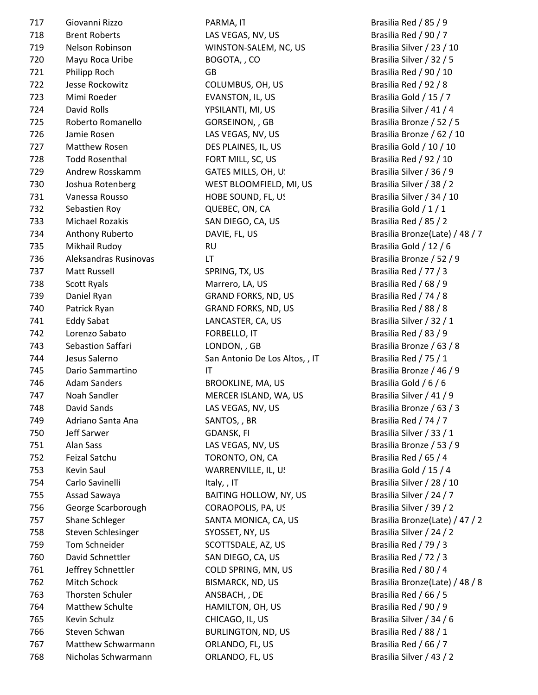| 717 | Giovanni Rizzo        | PARMA, IT                      | Brasilia Red / 85 / 9    |
|-----|-----------------------|--------------------------------|--------------------------|
| 718 | <b>Brent Roberts</b>  | LAS VEGAS, NV, US              | Brasilia Red / 90 / 7    |
| 719 | Nelson Robinson       | WINSTON-SALEM, NC, US          | Brasilia Silver / 23 / 1 |
| 720 | Mayu Roca Uribe       | BOGOTA,, CO                    | Brasilia Silver / 32 / 5 |
| 721 | Philipp Roch          | GB                             | Brasilia Red / 90 / 10   |
| 722 | Jesse Rockowitz       | COLUMBUS, OH, US               | Brasilia Red / 92 / 8    |
| 723 | Mimi Roeder           | EVANSTON, IL, US               | Brasilia Gold / 15 / 7   |
| 724 | David Rolls           | YPSILANTI, MI, US              | Brasilia Silver / 41 / 4 |
| 725 | Roberto Romanello     | GORSEINON, , GB                | Brasilia Bronze / 52 /   |
| 726 | Jamie Rosen           | LAS VEGAS, NV, US              | Brasilia Bronze / 62 /   |
| 727 | Matthew Rosen         | DES PLAINES, IL, US            | Brasilia Gold / 10 / 10  |
| 728 | <b>Todd Rosenthal</b> | FORT MILL, SC, US              | Brasilia Red / 92 / 10   |
| 729 | Andrew Rosskamm       | GATES MILLS, OH, U.            | Brasilia Silver / 36 / 9 |
| 730 | Joshua Rotenberg      | WEST BLOOMFIELD, MI, US        | Brasilia Silver / 38 / 2 |
| 731 | Vanessa Rousso        | HOBE SOUND, FL, US             | Brasilia Silver / 34 / 1 |
| 732 | Sebastien Roy         | QUEBEC, ON, CA                 | Brasilia Gold / 1 / 1    |
| 733 | Michael Rozakis       | SAN DIEGO, CA, US              | Brasilia Red / 85 / 2    |
| 734 | Anthony Ruberto       | DAVIE, FL, US                  | Brasilia Bronze(Late)    |
| 735 | Mikhail Rudoy         | <b>RU</b>                      | Brasilia Gold / 12 / 6   |
| 736 | Aleksandras Rusinovas | LT.                            | Brasilia Bronze / 52 /   |
| 737 | Matt Russell          | SPRING, TX, US                 | Brasilia Red / 77 / 3    |
| 738 | Scott Ryals           | Marrero, LA, US                | Brasilia Red / 68 / 9    |
| 739 | Daniel Ryan           | <b>GRAND FORKS, ND, US</b>     | Brasilia Red / 74 / 8    |
| 740 | Patrick Ryan          | <b>GRAND FORKS, ND, US</b>     | Brasilia Red / 88 / 8    |
| 741 | <b>Eddy Sabat</b>     | LANCASTER, CA, US              | Brasilia Silver / 32 / 1 |
| 742 | Lorenzo Sabato        | FORBELLO, IT                   | Brasilia Red / 83 / 9    |
| 743 | Sebastion Saffari     | LONDON, , GB                   | Brasilia Bronze / 63 /   |
| 744 | Jesus Salerno         | San Antonio De Los Altos, , IT | Brasilia Red / 75 / 1    |
| 745 | Dario Sammartino      | $\mathsf{I}\mathsf{T}$         | Brasilia Bronze / 46 /   |
| 746 | <b>Adam Sanders</b>   | BROOKLINE, MA, US              | Brasilia Gold / 6 / 6    |
| 747 | Noah Sandler          | MERCER ISLAND, WA, US          | Brasilia Silver / 41 / 9 |
| 748 | David Sands           | LAS VEGAS, NV, US              | Brasilia Bronze / 63 /   |
| 749 | Adriano Santa Ana     | SANTOS, , BR                   | Brasilia Red / 74 / 7    |
| 750 | Jeff Sarwer           | GDANSK, FI                     | Brasilia Silver / 33 / 1 |
| 751 | Alan Sass             | LAS VEGAS, NV, US              | Brasilia Bronze / 53 /   |
| 752 | Feizal Satchu         | TORONTO, ON, CA                | Brasilia Red / 65 / 4    |
| 753 | Kevin Saul            | WARRENVILLE, IL, U!            | Brasilia Gold / 15 / 4   |
| 754 | Carlo Savinelli       | Italy,, IT                     | Brasilia Silver / 28 / 1 |
| 755 | Assad Sawaya          | BAITING HOLLOW, NY, US         | Brasilia Silver / 24 / 7 |
| 756 | George Scarborough    | CORAOPOLIS, PA, US             | Brasilia Silver / 39 / 2 |
| 757 | Shane Schleger        | SANTA MONICA, CA, US           | Brasilia Bronze(Late)    |
| 758 | Steven Schlesinger    | SYOSSET, NY, US                | Brasilia Silver / 24 / 2 |
| 759 | Tom Schneider         | SCOTTSDALE, AZ, US             | Brasilia Red / 79 / 3    |
| 760 | David Schnettler      | SAN DIEGO, CA, US              | Brasilia Red / 72 / 3    |
| 761 | Jeffrey Schnettler    | COLD SPRING, MN, US            | Brasilia Red / 80 / 4    |
| 762 | Mitch Schock          | BISMARCK, ND, US               | Brasilia Bronze(Late)    |
| 763 | Thorsten Schuler      | ANSBACH, , DE                  | Brasilia Red / 66 / 5    |
| 764 | Matthew Schulte       | HAMILTON, OH, US               | Brasilia Red / 90 / 9    |
| 765 | Kevin Schulz          | CHICAGO, IL, US                | Brasilia Silver / 34 / 6 |
| 766 | Steven Schwan         | <b>BURLINGTON, ND, US</b>      | Brasilia Red / 88 / 1    |
| 767 | Matthew Schwarmann    | ORLANDO, FL, US                | Brasilia Red / 66 / 7    |
| 768 | Nicholas Schwarmann   | ORLANDO, FL, US                | Brasilia Silver / 43 / 2 |
|     |                       |                                |                          |

PARMA, IT BRASILIA Red / 85 / 9 DAVIE, FL, US Brasilia Bronze(Late) / 48 / 7 SANTA MONICA, CA, US Brasilia Bronze(Late) / 47 / 2 762 Mitch Schock BISMARCK, ND, US Brasilia Bronze(Late) / 48 / 8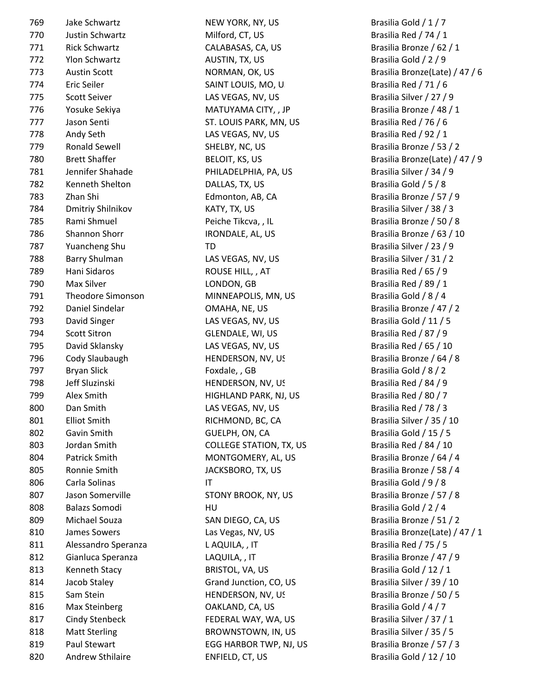| 769 | Jake Schwartz            |
|-----|--------------------------|
| 770 | Justin Schwartz          |
| 771 | <b>Rick Schwartz</b>     |
| 772 | <b>Ylon Schwartz</b>     |
| 773 | <b>Austin Scott</b>      |
| 774 | Eric Seiler              |
| 775 | <b>Scott Seiver</b>      |
| 776 | Yosuke Sekiya            |
| 777 | Jason Senti              |
| 778 | Andy Seth                |
| 779 | <b>Ronald Sewell</b>     |
| 780 | <b>Brett Shaffer</b>     |
| 781 | Jennifer Shahade         |
| 782 | Kenneth Shelton          |
| 783 | Zhan Shi                 |
| 784 | <b>Dmitriy Shilnikov</b> |
| 785 | Rami Shmuel              |
| 786 | <b>Shannon Shorr</b>     |
| 787 | <b>Yuancheng Shu</b>     |
| 788 | <b>Barry Shulman</b>     |
| 789 | Hani Sidaros             |
| 790 | Max Silver               |
| 791 | <b>Theodore Simonso</b>  |
| 792 | Daniel Sindelar          |
| 793 | David Singer             |
| 794 | <b>Scott Sitron</b>      |
| 795 | David Sklansky           |
| 796 | Cody Slaubaugh           |
| 797 | <b>Bryan Slick</b>       |
| 798 | Jeff Sluzinski           |
| 799 | <b>Alex Smith</b>        |
|     | Dan Smith                |
| 800 | <b>Elliot Smith</b>      |
| 801 |                          |
| 802 | Gavin Smith              |
| 803 | Jordan Smith             |
| 804 | <b>Patrick Smith</b>     |
| 805 | Ronnie Smith             |
| 806 | Carla Solinas            |
| 807 | Jason Somerville         |
| 808 | <b>Balazs Somodi</b>     |
| 809 | Michael Souza            |
| 810 | <b>James Sowers</b>      |
| 811 | Alessandro Sperar        |
| 812 | Gianluca Speranza        |
| 813 | Kenneth Stacy            |
| 814 | Jacob Staley             |
| 815 | Sam Stein                |
| 816 | <b>Max Steinberg</b>     |
| 817 | <b>Cindy Stenbeck</b>    |
| 818 | <b>Matt Sterling</b>     |
| 819 | Paul Stewart             |
|     |                          |

NEW YORK, NY, US Brasilia Gold / 1 / 7 Milford, CT, US Brasilia Red / 74 / 1 CALABASAS, CA, US Brasilia Bronze / 62 / 1 772 Ylon Schwartz AUSTIN, TX, US Brasilia Gold / 2 / 9 SAINT LOUIS, MO, US Brasilia Red / 71 / 6 LAS VEGAS, NV, US Brasilia Silver / 27 / 9 MATUYAMA CITY, , JP Brasilia Bronze / 48 / 1 5T. LOUIS PARK, MN, US Brasilia Red / 76 / 6 LAS VEGAS, NV, US Brasilia Red / 92 / 1 779 Ronald Sewell SHELBY, NC, US Brasilia Bronze / 53 / 2 PHILADELPHIA, PA, US Brasilia Silver / 34 / 9 DALLAS, TX, US Brasilia Gold / 5 / 8 Edmonton, AB, CA Brasilia Bronze / 57 / 9 784 Dmitriy Shilnikov KATY, TX, US Brasilia Silver / 38 / 3 Peiche Tikcva, , IL Brasilia Bronze / 50 / 8 IRONDALE, AL, US Brasilia Bronze / 63 / 10 787 Yuancheng Shu TD Brasilia Silver / 23 / 9 LAS VEGAS, NV, US Brasilia Silver / 31 / 2 ROUSE HILL, , AT Brasilia Red / 65 / 9 LONDON, GB Brasilia Red / 89 / 1 01 Theodore Simonson MINNEAPOLIS, MN, US Brasilia Gold / 8 / 4 OMAHA, NE, US Brasilia Bronze / 47 / 2 LAS VEGAS, NV, US Brasilia Gold / 11 / 5 GLENDALE, WI, US Brasilia Red / 87 / 9 LAS VEGAS, NV, US Brasilia Red / 65 / 10 HENDERSON, NV, US Brasilia Bronze / 64 / 8 Foxdale, , GB Brasilia Gold / 8 / 2 THENDERSON, NV, US Brasilia Red / 84 / 9 HIGHLAND PARK, NJ, US Brasilia Red / 80 / 7 LAS VEGAS, NV, US Brasilia Red / 78 / 3 RICHMOND, BC, CA Brasilia Silver / 35 / 10 GUELPH, ON, CA Brasilia Gold / 15 / 5 COLLEGE STATION, TX, US Brasilia Red / 84 / 10 MONTGOMERY, AL, US Brasilia Bronze / 64 / 4 JACKSBORO, TX, US Brasilia Bronze / 58 / 4 IT Brasilia Gold / 9 / 8 STONY BROOK, NY, US Brasilia Bronze / 57 / 8 808 Brasilia Gold / 2 / 4 SAN DIEGO, CA, US Brasilia Bronze / 51 / 2 811 Alessandro Speranza L AQUILA, , IT Brasilia Red / 75 / 5 LAQUILA, , IT Brasilia Bronze / 47 / 9 BRISTOL, VA, US Brasilia Gold / 12 / 1 Grand Junction, CO, US Brasilia Silver / 39 / 10 HENDERSON, NV, US Brasilia Bronze / 50 / 5 OAKLAND, CA, US Brasilia Gold / 4 / 7 FEDERAL WAY, WA, US Brasilia Silver / 37 / 1 BROWNSTOWN, IN, US Brasilia Silver / 35 / 5 EGG HARBOR TWP, NJ, US Brasilia Bronze / 57 / 3 820 Andrew Sthilaire ENFIELD, CT, US Brasilia Gold / 12 / 10

NORMAN, OK, US Brasilia Bronze(Late) / 47 / 6 BELOIT, KS, US Brasilia Bronze(Late) / 47 / 9 Las Vegas, NV, US Brasilia Bronze(Late) / 47 / 1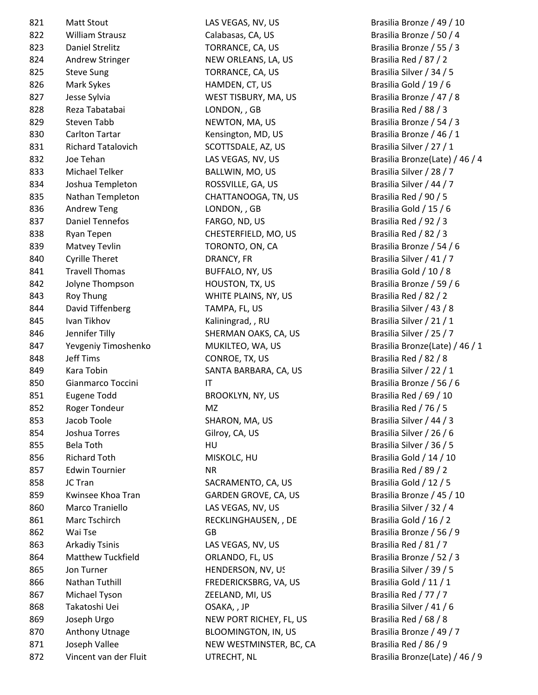821 Matt Stout CAS VEGAS, NV, US Brasilia Bronze / 49 / 10 822 Milliam Strausz Calabasas, CA, US Brasilia Bronze / 50 / 4 823 Daniel Strelitz TORRANCE, CA, US Brasilia Bronze / 55 / 3 824 Andrew Stringer NEW ORLEANS, LA, US Brasilia Red / 87 / 2 825 Steve Sung Superinten Steve Sung TORRANCE, CA, US Server Steve Superintendent States Steve Steve Torrent S 826 Mark Sykes **Mark Sykes** HAMDEN, CT, US Brasilia Gold / 19 / 6 827 Jesse Sylvia Chronic Communist Communist WEST TISBURY, MA, US Brasilia Bronze / 47 / 8 828 Reza Tabatabai LONDON, , GB Brasilia Red / 88 / 3 829 Steven Tabb NEWTON, MA, US Brasilia Bronze / 54 / 3 830 Carlton Tartar **Kensington, MD, US** Brasilia Bronze / 46 / 1 831 Richard Tatalovich SCOTTSDALE, AZ, US Brasilia Silver / 27 / 1 833 Michael Telker BALLWIN, MO, US Brasilia Silver / 28 / 7 834 Joshua Templeton ROSSVILLE, GA, US Brasilia Silver / 44 / 7 835 Nathan Templeton CHATTANOOGA, TN, US Brasilia Red / 90 / 5 836 Andrew Teng Teng LONDON, GB Brasilia Gold / 15 / 6 837 Daniel Tennefos **FARGO, ND, US** Brasilia Red / 92 / 3 838 Ryan Tepen CHESTERFIELD, MO, US Brasilia Red / 82 / 3 839 Matvey Tevlin **Example 20 TORONTO, ON, CA** Brasilia Bronze / 54 / 6 840 Cyrille Theret **Example 20 DRANCY, FR** Brasilia Silver / 41 / 7 841 Travell Thomas BUFFALO, NY, US Brasilia Gold / 10 / 8 842 Jolyne Thompson **HOUSTON, TX, US** Brasilia Bronze / 59 / 6 843 Roy Thung Thung WHITE PLAINS, NY, US Brasilia Red / 82 / 2 844 David Tiffenberg TAMPA, FL, US Brasilia Silver / 43 / 8 845 Ivan Tikhov **Kaliningrad, , RU Brasilia Silver / 21 / 1** 846 Jennifer Tilly SHERMAN OAKS, CA, US Brasilia Silver / 25 / 7 848 Jeff Tims CONROE, TX, US Brasilia Red / 82 / 8 849 Kara Tobin SANTA BARBARA, CA, US Brasilia Silver / 22 / 1 850 Gianmarco Toccini IT IT Brasilia Bronze / 56 / 6 851 Eugene Todd BROOKLYN, NY, US Brasilia Red / 69 / 10 852 Roger Tondeur MZ Brasilia Red / 76 / 5 853 Jacob Toole SHARON, MA, US Brasilia Silver / 44 / 3 854 Joshua Torres Gilroy, CA, US Brasilia Silver / 26 / 6 855 Bela Toth **HU Brasilia Silver / 36 / 5** 856 Richard Toth **MISKOLC, HU** MISKOLC, HU Brasilia Gold / 14 / 10 857 Edwin Tournier NR NR Brasilia Red / 89 / 2 858 JC Tran SACRAMENTO, CA, US Brasilia Gold / 12 / 5 859 Kwinsee Khoa Tran GARDEN GROVE, CA, US Brasilia Bronze / 45 / 10 860 Marco Traniello CAS VEGAS, NV, US Brasilia Silver / 32 / 4 861 Marc Tschirch RECKLINGHAUSEN, , DE Brasilia Gold / 16 / 2 862 Wai Tse GB GB Bronze / 56 / 9 863 Arkadiy Tsinis Cassilla Red / 81 / 7 LAS VEGAS, NV, US Results are also Brasilia Red / 81 / 7 864 Matthew Tuckfield **ORLANDO, FL, US** Brasilia Bronze / 52 / 3 865 Jon Turner **HENDERSON, NV, US** Brasilia Silver / 39 / 5 866 Nathan Tuthill **FREDERICKSBRG, VA, US** Brasilia Gold / 11 / 1 867 Michael Tyson **CEELAND, MI, US** Brasilia Red / 77 / 7 868 Takatoshi Uei OSAKA, , JP Brasilia Silver / 41 / 6 869 Joseph Urgo NEW PORT RICHEY, FL, US Brasilia Red / 68 / 8 870 Anthony Utnage BLOOMINGTON, IN, US Brasilia Bronze / 49 / 7 871 Joseph Vallee New WESTMINSTER, BC, CA Brasilia Red / 86 / 9 872 Vincent van der Fluit UTRECHT, NL Brasilia Bronze(Late) / 46 / 9

832 Joe Tehan LAS VEGAS, NV, US Brasilia Bronze(Late) / 46 / 4 847 Yevgeniy Timoshenko MUKILTEO, WA, US Brasilia Bronze(Late) / 46 / 1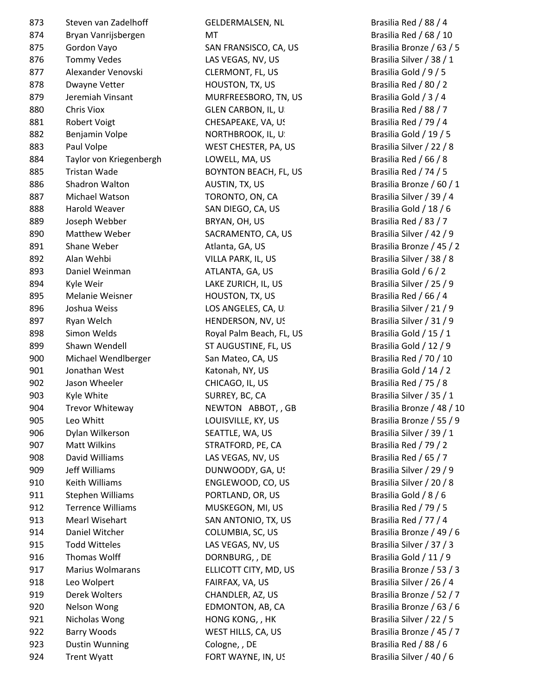| 873 | Steven van Zadelhoff     |  |  |
|-----|--------------------------|--|--|
| 874 | Bryan Vanrijsbergen      |  |  |
| 875 | Gordon Vayo              |  |  |
| 876 | <b>Tommy Vedes</b>       |  |  |
| 877 | Alexander Venovski       |  |  |
| 878 | Dwayne Vetter            |  |  |
| 879 | Jeremiah Vinsant         |  |  |
| 880 | Chris Viox               |  |  |
| 881 | <b>Robert Voigt</b>      |  |  |
| 882 | Benjamin Volpe           |  |  |
| 883 | Paul Volpe               |  |  |
| 884 | Taylor von Kriegenberg   |  |  |
| 885 | Tristan Wade             |  |  |
| 886 | <b>Shadron Walton</b>    |  |  |
| 887 | Michael Watson           |  |  |
| 888 | Harold Weaver            |  |  |
| 889 | Joseph Webber            |  |  |
| 890 | <b>Matthew Weber</b>     |  |  |
| 891 | <b>Shane Weber</b>       |  |  |
| 892 | Alan Wehbi               |  |  |
| 893 | Daniel Weinman           |  |  |
| 894 | Kyle Weir                |  |  |
| 895 | <b>Melanie Weisner</b>   |  |  |
| 896 | Joshua Weiss             |  |  |
| 897 | Ryan Welch               |  |  |
| 898 | Simon Welds              |  |  |
| 899 | Shawn Wendell            |  |  |
| 900 | Michael Wendlberger      |  |  |
| 901 | Jonathan West            |  |  |
| 902 | Jason Wheeler            |  |  |
| 903 | Kyle White               |  |  |
| 904 | Trevor Whiteway          |  |  |
| 905 | Leo Whitt                |  |  |
| 906 | Dylan Wilkerson          |  |  |
| 907 | <b>Matt Wilkins</b>      |  |  |
| 908 | David Williams           |  |  |
| 909 | Jeff Williams            |  |  |
| 910 | Keith Williams           |  |  |
| 911 | Stephen Williams         |  |  |
| 912 | <b>Terrence Williams</b> |  |  |
| 913 | <b>Mearl Wisehart</b>    |  |  |
| 914 | Daniel Witcher           |  |  |
| 915 | <b>Todd Witteles</b>     |  |  |
| 916 | <b>Thomas Wolff</b>      |  |  |
| 917 | <b>Marius Wolmarans</b>  |  |  |
| 918 | Leo Wolpert              |  |  |
| 919 | Derek Wolters            |  |  |
| 920 | Nelson Wong              |  |  |
| 921 | Nicholas Wong            |  |  |
| 922 | <b>Barry Woods</b>       |  |  |
| 923 | <b>Dustin Wunning</b>    |  |  |
| 924 | <b>Trent Wyatt</b>       |  |  |
|     |                          |  |  |

GELDERMALSEN, NL Brasilia Red / 88 / 4 MT Brasilia Red / 68 / 10 SAN FRANSISCO, CA, US Brasilia Bronze / 63 / 5 LAS VEGAS, NV, US Brasilia Silver / 38 / 1 CLERMONT, FL, US Brasilia Gold / 9 / 5 878 Brasilia Red / 80 / 2 MURFREESBORO, TN, US Brasilia Gold / 3 / 4 GLEN CARBON, IL, U. Santon Control Brasilia Red / 88 / 7 CHESAPEAKE, VA, US Brasilia Red / 79 / 4 NORTHBROOK, IL, U. Sand Brasilia Gold / 19 / 5 WEST CHESTER, PA, US Brasilia Silver / 22 / 8 884 Taylor von Kriegenbergh LOWELL, MA, US Brasilia Red / 66 / 8 BOYNTON BEACH, FL, US Brasilia Red / 74 / 5 AUSTIN, TX, US Brasilia Bronze / 60 / 1 TORONTO, ON, CA Brasilia Silver / 39 / 4 SAN DIEGO, CA, US Brasilia Gold / 18 / 6 BRYAN, OH, US Brasilia Red / 83 / 7 SACRAMENTO, CA, US Brasilia Silver / 42 / 9 Atlanta, GA, US Brasilia Bronze / 45 / 2 VILLA PARK, IL, US Brasilia Silver / 38 / 8 ATLANTA, GA, US Brasilia Gold / 6 / 2 LAKE ZURICH, IL, US Brasilia Silver / 25 / 9 895 HOUSTON, TX, US Brasilia Red / 66 / 4 LOS ANGELES, CA, US Brasilia Silver / 21 / 9 HENDERSON, NV, US Brasilia Silver / 31 / 9 Royal Palm Beach, FL, US Brasilia Gold / 15 / 1 ST AUGUSTINE, FL, US Brasilia Gold / 12 / 9 San Mateo, CA, US Brasilia Red / 70 / 10 Katonah, NY, US Brasilia Gold / 14 / 2 CHICAGO, IL, US Brasilia Red / 75 / 8 SURREY, BC, CA Brasilia Silver / 35 / 1 NEWTON ABBOT, , GB Brasilia Bronze / 48 / 10 LOUISVILLE, KY, US Brasilia Bronze / 55 / 9 SEATTLE, WA, US Brasilia Silver / 39 / 1 STRATFORD, PE, CA Brasilia Red / 79 / 2 LAS VEGAS, NV, US Brasilia Red / 65 / 7 DUNWOODY, GA, US Brasilia Silver / 29 / 9 ENGLEWOOD, CO, US Brasilia Silver / 20 / 8 PORTLAND, OR, US Brasilia Gold / 8 / 6 MUSKEGON, MI, US Brasilia Red / 79 / 5 SAN ANTONIO, TX, US Brasilia Red / 77 / 4 914 Daniel Witcher COLUMBIA, SC, US Brasilia Bronze / 49 / 6 LAS VEGAS, NV, US Brasilia Silver / 37 / 3 DORNBURG, , DE Brasilia Gold / 11 / 9 ELLICOTT CITY, MD, US Brasilia Bronze / 53 / 3 FAIRFAX, VA, US Brasilia Silver / 26 / 4 CHANDLER, AZ, US Brasilia Bronze / 52 / 7 EDMONTON, AB, CA Brasilia Bronze / 63 / 6 HONG KONG, , HK Brasilia Silver / 22 / 5 WEST HILLS, CA, US Brasilia Bronze / 45 / 7 923 Dustin Wunning Cologne, , DE Brasilia Red / 88 / 6

FORT WAYNE, IN, US Brasilia Silver / 40 / 6